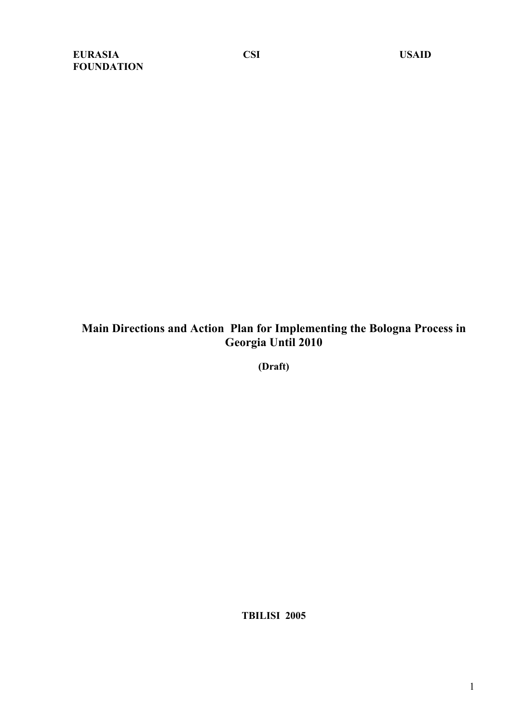# **Main Directions and Action Plan for Implementing the Bologna Process in Georgia Until 2010**

**(Draft)**

**TBILISI 2005**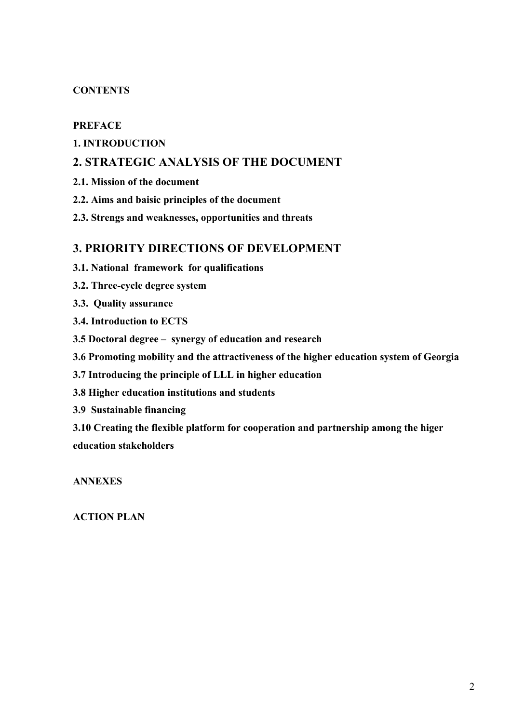# **CONTENTS**

#### **PREFACE**

# **1. INTRODUCTION**

# **2. STRATEGIC ANALYSIS OF THE DOCUMENT**

- **2.1. Mission of the document**
- **2.2. Aims and baisic principles of the document**
- **2.3. Strengs and weaknesses, opportunities and threats**

# **3. PRIORITY DIRECTIONS OF DEVELOPMENT**

- **3.1. National framework for qualifications**
- **3.2. Three-cycle degree system**
- **3.3. Quality assurance**
- **3.4. Introduction to ECTS**
- **3.5 Doctoral degree – synergy of education and research**
- **3.6 Promoting mobility and the attractiveness of the higher education system of Georgia**
- **3.7 Introducing the principle of LLL in higher education**
- **3.8 Higher education institutions and students**
- **3.9 Sustainable financing**

**3.10 Creating the flexible platform for cooperation and partnership among the higer education stakeholders**

**ANNEXES**

**ACTION PLAN**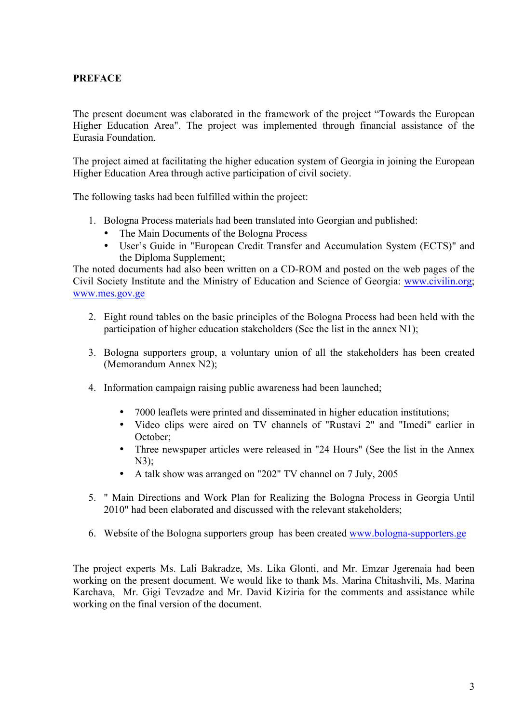# **PREFACE**

The present document was elaborated in the framework of the project "Towards the European Higher Education Area". The project was implemented through financial assistance of the Eurasia Foundation.

The project aimed at facilitating the higher education system of Georgia in joining the European Higher Education Area through active participation of civil society.

The following tasks had been fulfilled within the project:

- 1. Bologna Process materials had been translated into Georgian and published:
	- The Main Documents of the Bologna Process
	- User's Guide in "European Credit Transfer and Accumulation System (ECTS)" and the Diploma Supplement;

The noted documents had also been written on a CD-ROM and posted on the web pages of the Civil Society Institute and the Ministry of Education and Science of Georgia: www.civilin.org; www.mes.gov.ge

- 2. Eight round tables on the basic principles of the Bologna Process had been held with the participation of higher education stakeholders (See the list in the annex N1);
- 3. Bologna supporters group, a voluntary union of all the stakeholders has been created (Memorandum Annex N2);
- 4. Information campaign raising public awareness had been launched;
	- 7000 leaflets were printed and disseminated in higher education institutions;
	- Video clips were aired on TV channels of "Rustavi 2" and "Imedi" earlier in October;
	- Three newspaper articles were released in "24 Hours" (See the list in the Annex N3);
	- A talk show was arranged on "202" TV channel on 7 July, 2005
- 5. " Main Directions and Work Plan for Realizing the Bologna Process in Georgia Until 2010" had been elaborated and discussed with the relevant stakeholders;
- 6. Website of the Bologna supporters group has been created www.bologna-supporters.ge

The project experts Ms. Lali Bakradze, Ms. Lika Glonti, and Mr. Emzar Jgerenaia had been working on the present document. We would like to thank Ms. Marina Chitashvili, Ms. Marina Karchava, Mr. Gigi Tevzadze and Mr. David Kiziria for the comments and assistance while working on the final version of the document.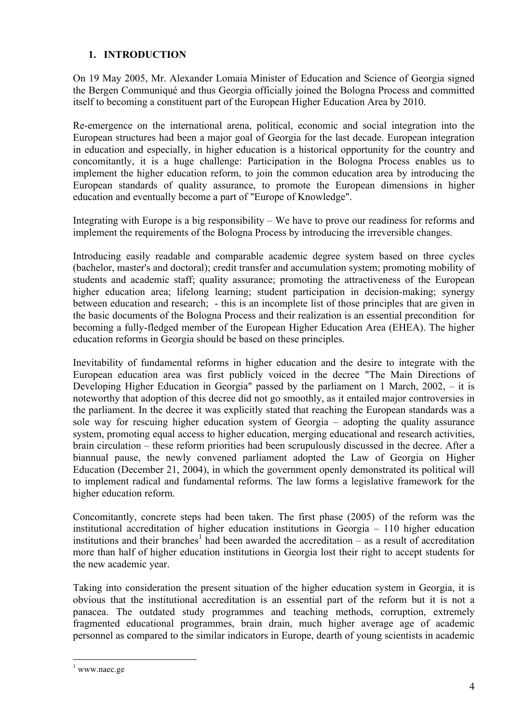# **1. INTRODUCTION**

On 19 May 2005, Mr. Alexander Lomaia Minister of Education and Science of Georgia signed the Bergen Communiqué and thus Georgia officially joined the Bologna Process and committed itself to becoming a constituent part of the European Higher Education Area by 2010.

Re-emergence on the international arena, political, economic and social integration into the European structures had been a major goal of Georgia for the last decade. European integration in education and especially, in higher education is a historical opportunity for the country and concomitantly, it is a huge challenge: Participation in the Bologna Process enables us to implement the higher education reform, to join the common education area by introducing the European standards of quality assurance, to promote the European dimensions in higher education and eventually become a part of "Europe of Knowledge".

Integrating with Europe is a big responsibility – We have to prove our readiness for reforms and implement the requirements of the Bologna Process by introducing the irreversible changes.

Introducing easily readable and comparable academic degree system based on three cycles (bachelor, master's and doctoral); credit transfer and accumulation system; promoting mobility of students and academic staff; quality assurance; promoting the attractiveness of the European higher education area; lifelong learning; student participation in decision-making; synergy between education and research; - this is an incomplete list of those principles that are given in the basic documents of the Bologna Process and their realization is an essential precondition for becoming a fully-fledged member of the European Higher Education Area (EHEA). The higher education reforms in Georgia should be based on these principles.

Inevitability of fundamental reforms in higher education and the desire to integrate with the European education area was first publicly voiced in the decree "The Main Directions of Developing Higher Education in Georgia" passed by the parliament on 1 March, 2002, – it is noteworthy that adoption of this decree did not go smoothly, as it entailed major controversies in the parliament. In the decree it was explicitly stated that reaching the European standards was a sole way for rescuing higher education system of Georgia – adopting the quality assurance system, promoting equal access to higher education, merging educational and research activities, brain circulation – these reform priorities had been scrupulously discussed in the decree. After a biannual pause, the newly convened parliament adopted the Law of Georgia on Higher Education (December 21, 2004), in which the government openly demonstrated its political will to implement radical and fundamental reforms. The law forms a legislative framework for the higher education reform.

Concomitantly, concrete steps had been taken. The first phase (2005) of the reform was the institutional accreditation of higher education institutions in Georgia – 110 higher education institutions and their branches<sup>1</sup> had been awarded the accreditation – as a result of accreditation more than half of higher education institutions in Georgia lost their right to accept students for the new academic year.

Taking into consideration the present situation of the higher education system in Georgia, it is obvious that the institutional accreditation is an essential part of the reform but it is not a panacea. The outdated study programmes and teaching methods, corruption, extremely fragmented educational programmes, brain drain, much higher average age of academic personnel as compared to the similar indicators in Europe, dearth of young scientists in academic

 $1$  www.naec.ge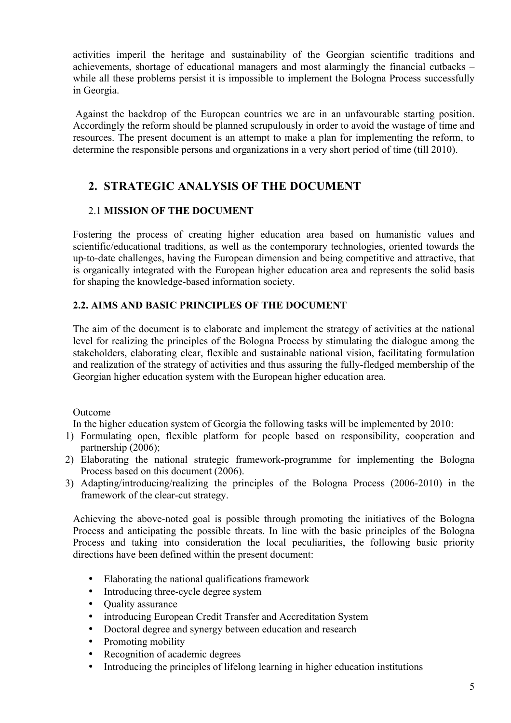activities imperil the heritage and sustainability of the Georgian scientific traditions and achievements, shortage of educational managers and most alarmingly the financial cutbacks – while all these problems persist it is impossible to implement the Bologna Process successfully in Georgia.

Against the backdrop of the European countries we are in an unfavourable starting position. Accordingly the reform should be planned scrupulously in order to avoid the wastage of time and resources. The present document is an attempt to make a plan for implementing the reform, to determine the responsible persons and organizations in a very short period of time (till 2010).

# **2. STRATEGIC ANALYSIS OF THE DOCUMENT**

# 2.1 **MISSION OF THE DOCUMENT**

Fostering the process of creating higher education area based on humanistic values and scientific/educational traditions, as well as the contemporary technologies, oriented towards the up-to-date challenges, having the European dimension and being competitive and attractive, that is organically integrated with the European higher education area and represents the solid basis for shaping the knowledge-based information society.

# **2.2. AIMS AND BASIC PRINCIPLES OF THE DOCUMENT**

The aim of the document is to elaborate and implement the strategy of activities at the national level for realizing the principles of the Bologna Process by stimulating the dialogue among the stakeholders, elaborating clear, flexible and sustainable national vision, facilitating formulation and realization of the strategy of activities and thus assuring the fully-fledged membership of the Georgian higher education system with the European higher education area.

Outcome

In the higher education system of Georgia the following tasks will be implemented by 2010:

- 1) Formulating open, flexible platform for people based on responsibility, cooperation and partnership (2006);
- 2) Elaborating the national strategic framework-programme for implementing the Bologna Process based on this document (2006).
- 3) Adapting/introducing/realizing the principles of the Bologna Process (2006-2010) in the framework of the clear-cut strategy.

Achieving the above-noted goal is possible through promoting the initiatives of the Bologna Process and anticipating the possible threats. In line with the basic principles of the Bologna Process and taking into consideration the local peculiarities, the following basic priority directions have been defined within the present document:

- Elaborating the national qualifications framework
- Introducing three-cycle degree system
- Quality assurance
- introducing European Credit Transfer and Accreditation System
- Doctoral degree and synergy between education and research
- Promoting mobility
- Recognition of academic degrees
- Introducing the principles of lifelong learning in higher education institutions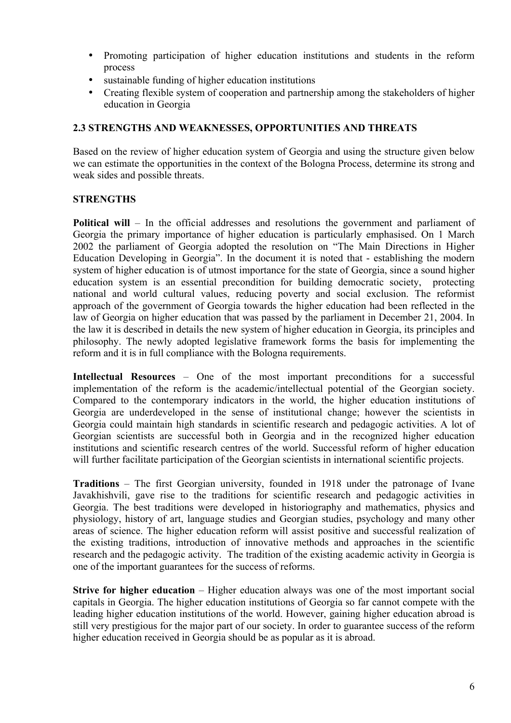- Promoting participation of higher education institutions and students in the reform process
- sustainable funding of higher education institutions
- Creating flexible system of cooperation and partnership among the stakeholders of higher education in Georgia

### **2.3 STRENGTHS AND WEAKNESSES, OPPORTUNITIES AND THREATS**

Based on the review of higher education system of Georgia and using the structure given below we can estimate the opportunities in the context of the Bologna Process, determine its strong and weak sides and possible threats.

### **STRENGTHS**

**Political will** – In the official addresses and resolutions the government and parliament of Georgia the primary importance of higher education is particularly emphasised. On 1 March 2002 the parliament of Georgia adopted the resolution on "The Main Directions in Higher Education Developing in Georgia". In the document it is noted that - establishing the modern system of higher education is of utmost importance for the state of Georgia, since a sound higher education system is an essential precondition for building democratic society, protecting national and world cultural values, reducing poverty and social exclusion. The reformist approach of the government of Georgia towards the higher education had been reflected in the law of Georgia on higher education that was passed by the parliament in December 21, 2004. In the law it is described in details the new system of higher education in Georgia, its principles and philosophy. The newly adopted legislative framework forms the basis for implementing the reform and it is in full compliance with the Bologna requirements.

**Intellectual Resources** – One of the most important preconditions for a successful implementation of the reform is the academic/intellectual potential of the Georgian society. Compared to the contemporary indicators in the world, the higher education institutions of Georgia are underdeveloped in the sense of institutional change; however the scientists in Georgia could maintain high standards in scientific research and pedagogic activities. A lot of Georgian scientists are successful both in Georgia and in the recognized higher education institutions and scientific research centres of the world. Successful reform of higher education will further facilitate participation of the Georgian scientists in international scientific projects.

**Traditions** – The first Georgian university, founded in 1918 under the patronage of Ivane Javakhishvili, gave rise to the traditions for scientific research and pedagogic activities in Georgia. The best traditions were developed in historiography and mathematics, physics and physiology, history of art, language studies and Georgian studies, psychology and many other areas of science. The higher education reform will assist positive and successful realization of the existing traditions, introduction of innovative methods and approaches in the scientific research and the pedagogic activity. The tradition of the existing academic activity in Georgia is one of the important guarantees for the success of reforms.

**Strive for higher education** – Higher education always was one of the most important social capitals in Georgia. The higher education institutions of Georgia so far cannot compete with the leading higher education institutions of the world. However, gaining higher education abroad is still very prestigious for the major part of our society. In order to guarantee success of the reform higher education received in Georgia should be as popular as it is abroad.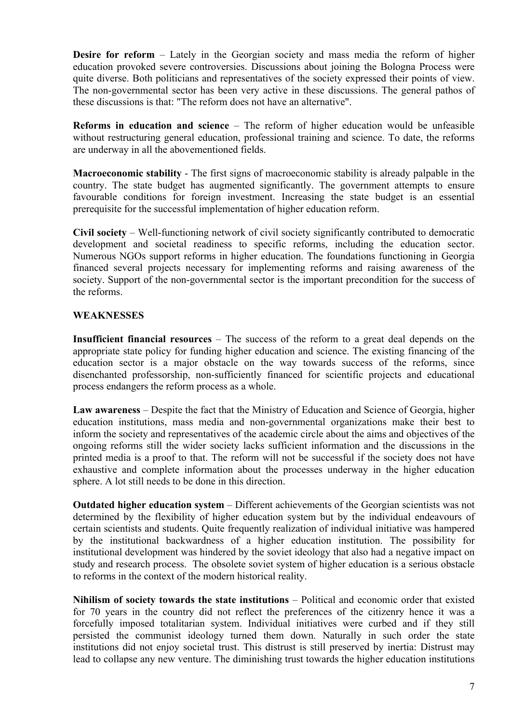**Desire for reform** – Lately in the Georgian society and mass media the reform of higher education provoked severe controversies. Discussions about joining the Bologna Process were quite diverse. Both politicians and representatives of the society expressed their points of view. The non-governmental sector has been very active in these discussions. The general pathos of these discussions is that: "The reform does not have an alternative".

**Reforms in education and science** – The reform of higher education would be unfeasible without restructuring general education, professional training and science. To date, the reforms are underway in all the abovementioned fields.

**Macroeconomic stability** - The first signs of macroeconomic stability is already palpable in the country. The state budget has augmented significantly. The government attempts to ensure favourable conditions for foreign investment. Increasing the state budget is an essential prerequisite for the successful implementation of higher education reform.

**Civil society** – Well-functioning network of civil society significantly contributed to democratic development and societal readiness to specific reforms, including the education sector. Numerous NGOs support reforms in higher education. The foundations functioning in Georgia financed several projects necessary for implementing reforms and raising awareness of the society. Support of the non-governmental sector is the important precondition for the success of the reforms.

#### **WEAKNESSES**

**Insufficient financial resources** – The success of the reform to a great deal depends on the appropriate state policy for funding higher education and science. The existing financing of the education sector is a major obstacle on the way towards success of the reforms, since disenchanted professorship, non-sufficiently financed for scientific projects and educational process endangers the reform process as a whole.

**Law awareness** – Despite the fact that the Ministry of Education and Science of Georgia, higher education institutions, mass media and non-governmental organizations make their best to inform the society and representatives of the academic circle about the aims and objectives of the ongoing reforms still the wider society lacks sufficient information and the discussions in the printed media is a proof to that. The reform will not be successful if the society does not have exhaustive and complete information about the processes underway in the higher education sphere. A lot still needs to be done in this direction.

**Outdated higher education system** – Different achievements of the Georgian scientists was not determined by the flexibility of higher education system but by the individual endeavours of certain scientists and students. Quite frequently realization of individual initiative was hampered by the institutional backwardness of a higher education institution. The possibility for institutional development was hindered by the soviet ideology that also had a negative impact on study and research process. The obsolete soviet system of higher education is a serious obstacle to reforms in the context of the modern historical reality.

**Nihilism of society towards the state institutions** – Political and economic order that existed for 70 years in the country did not reflect the preferences of the citizenry hence it was a forcefully imposed totalitarian system. Individual initiatives were curbed and if they still persisted the communist ideology turned them down. Naturally in such order the state institutions did not enjoy societal trust. This distrust is still preserved by inertia: Distrust may lead to collapse any new venture. The diminishing trust towards the higher education institutions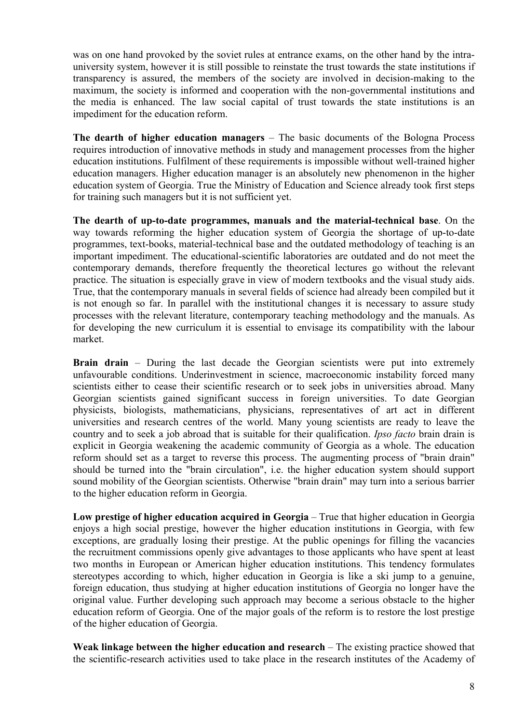was on one hand provoked by the soviet rules at entrance exams, on the other hand by the intrauniversity system, however it is still possible to reinstate the trust towards the state institutions if transparency is assured, the members of the society are involved in decision-making to the maximum, the society is informed and cooperation with the non-governmental institutions and the media is enhanced. The law social capital of trust towards the state institutions is an impediment for the education reform.

**The dearth of higher education managers** – The basic documents of the Bologna Process requires introduction of innovative methods in study and management processes from the higher education institutions. Fulfilment of these requirements is impossible without well-trained higher education managers. Higher education manager is an absolutely new phenomenon in the higher education system of Georgia. True the Ministry of Education and Science already took first steps for training such managers but it is not sufficient yet.

**The dearth of up-to-date programmes, manuals and the material-technical base**. On the way towards reforming the higher education system of Georgia the shortage of up-to-date programmes, text-books, material-technical base and the outdated methodology of teaching is an important impediment. The educational-scientific laboratories are outdated and do not meet the contemporary demands, therefore frequently the theoretical lectures go without the relevant practice. The situation is especially grave in view of modern textbooks and the visual study aids. True, that the contemporary manuals in several fields of science had already been compiled but it is not enough so far. In parallel with the institutional changes it is necessary to assure study processes with the relevant literature, contemporary teaching methodology and the manuals. As for developing the new curriculum it is essential to envisage its compatibility with the labour market.

**Brain drain** – During the last decade the Georgian scientists were put into extremely unfavourable conditions. Underinvestment in science, macroeconomic instability forced many scientists either to cease their scientific research or to seek jobs in universities abroad. Many Georgian scientists gained significant success in foreign universities. To date Georgian physicists, biologists, mathematicians, physicians, representatives of art act in different universities and research centres of the world. Many young scientists are ready to leave the country and to seek a job abroad that is suitable for their qualification. *Ipso facto* brain drain is explicit in Georgia weakening the academic community of Georgia as a whole. The education reform should set as a target to reverse this process. The augmenting process of "brain drain" should be turned into the "brain circulation", i.e. the higher education system should support sound mobility of the Georgian scientists. Otherwise "brain drain" may turn into a serious barrier to the higher education reform in Georgia.

**Low prestige of higher education acquired in Georgia** – True that higher education in Georgia enjoys a high social prestige, however the higher education institutions in Georgia, with few exceptions, are gradually losing their prestige. At the public openings for filling the vacancies the recruitment commissions openly give advantages to those applicants who have spent at least two months in European or American higher education institutions. This tendency formulates stereotypes according to which, higher education in Georgia is like a ski jump to a genuine, foreign education, thus studying at higher education institutions of Georgia no longer have the original value. Further developing such approach may become a serious obstacle to the higher education reform of Georgia. One of the major goals of the reform is to restore the lost prestige of the higher education of Georgia.

**Weak linkage between the higher education and research** – The existing practice showed that the scientific-research activities used to take place in the research institutes of the Academy of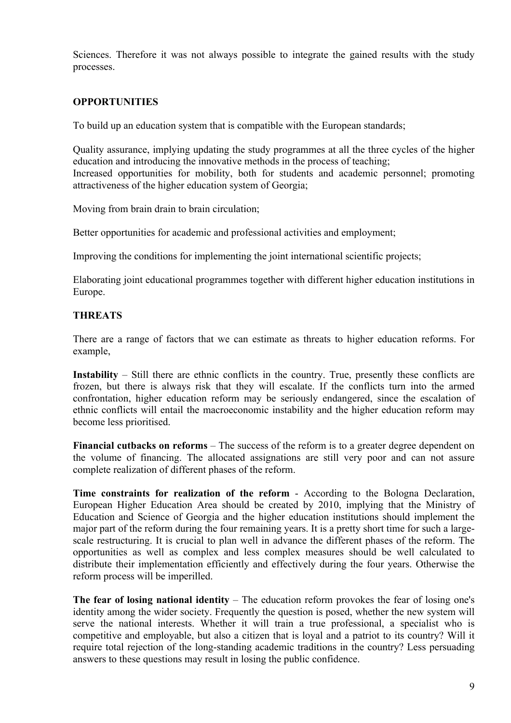Sciences. Therefore it was not always possible to integrate the gained results with the study processes.

### **OPPORTUNITIES**

To build up an education system that is compatible with the European standards;

Quality assurance, implying updating the study programmes at all the three cycles of the higher education and introducing the innovative methods in the process of teaching; Increased opportunities for mobility, both for students and academic personnel; promoting attractiveness of the higher education system of Georgia;

Moving from brain drain to brain circulation;

Better opportunities for academic and professional activities and employment;

Improving the conditions for implementing the joint international scientific projects;

Elaborating joint educational programmes together with different higher education institutions in Europe.

#### **THREATS**

There are a range of factors that we can estimate as threats to higher education reforms. For example,

**Instability** – Still there are ethnic conflicts in the country. True, presently these conflicts are frozen, but there is always risk that they will escalate. If the conflicts turn into the armed confrontation, higher education reform may be seriously endangered, since the escalation of ethnic conflicts will entail the macroeconomic instability and the higher education reform may become less prioritised.

**Financial cutbacks on reforms** – The success of the reform is to a greater degree dependent on the volume of financing. The allocated assignations are still very poor and can not assure complete realization of different phases of the reform.

**Time constraints for realization of the reform** - According to the Bologna Declaration, European Higher Education Area should be created by 2010, implying that the Ministry of Education and Science of Georgia and the higher education institutions should implement the major part of the reform during the four remaining years. It is a pretty short time for such a largescale restructuring. It is crucial to plan well in advance the different phases of the reform. The opportunities as well as complex and less complex measures should be well calculated to distribute their implementation efficiently and effectively during the four years. Otherwise the reform process will be imperilled.

**The fear of losing national identity** – The education reform provokes the fear of losing one's identity among the wider society. Frequently the question is posed, whether the new system will serve the national interests. Whether it will train a true professional, a specialist who is competitive and employable, but also a citizen that is loyal and a patriot to its country? Will it require total rejection of the long-standing academic traditions in the country? Less persuading answers to these questions may result in losing the public confidence.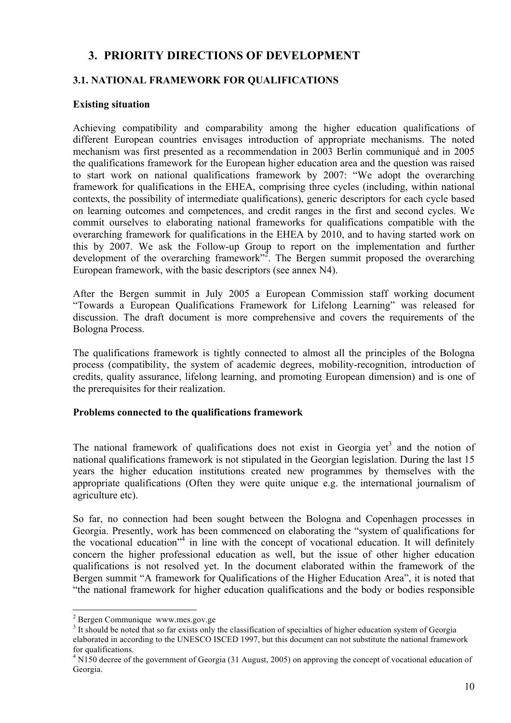# **3. PRIORITY DIRECTIONS OF DEVELOPMENT**

## **3.1. NATIONAL FRAMEWORK FOR QUALIFICATIONS**

#### **Existing situation**

Achieving compatibility and comparability among the higher education qualifications of different European countries envisages introduction of appropriate mechanisms. The noted mechanism was first presented as a recommendation in 2003 Berlin communiqué and in 2005 the qualifications framework for the European higher education area and the question was raised to start work on national qualifications framework by 2007: "We adopt the overarching framework for qualifications in the EHEA, comprising three cycles (including, within national contexts, the possibility of intermediate qualifications), generic descriptors for each cycle based on learning outcomes and competences, and credit ranges in the first and second cycles. We commit ourselves to elaborating national frameworks for qualifications compatible with the overarching framework for qualifications in the EHEA by 2010, and to having started work on this by 2007. We ask the Follow-up Group to report on the implementation and further development of the overarching framework"<sup>2</sup>. The Bergen summit proposed the overarching European framework, with the basic descriptors (see annex N4).

After the Bergen summit in July 2005 a European Commission staff working document "Towards a European Qualifications Framework for Lifelong Learning" was released for discussion. The draft document is more comprehensive and covers the requirements of the Bologna Process.

The qualifications framework is tightly connected to almost all the principles of the Bologna process (compatibility, the system of academic degrees, mobility-recognition, introduction of credits, quality assurance, lifelong learning, and promoting European dimension) and is one of the prerequisites for their realization.

#### **Problems connected to the qualifications framework**

The national framework of qualifications does not exist in Georgia yet<sup>3</sup> and the notion of national qualifications framework is not stipulated in the Georgian legislation. During the last 15 years the higher education institutions created new programmes by themselves with the appropriate qualifications (Often they were quite unique e.g. the international journalism of agriculture etc).

So far, no connection had been sought between the Bologna and Copenhagen processes in Georgia. Presently, work has been commenced on elaborating the "system of qualifications for the vocational education<sup> $1/4$ </sup> in line with the concept of vocational education. It will definitely concern the higher professional education as well, but the issue of other higher education qualifications is not resolved yet. In the document elaborated within the framework of the Bergen summit "A framework for Qualifications of the Higher Education Area", it is noted that "the national framework for higher education qualifications and the body or bodies responsible

 <sup>2</sup> Bergen Communique www.mes.gov.ge

<sup>&</sup>lt;sup>3</sup> It should be noted that so far exists only the classification of specialties of higher education system of Georgia elaborated in according to the UNESCO ISCED 1997, but this document can not substitute the national framework for qualifications.

 $4$  N150 decree of the government of Georgia (31 August, 2005) on approving the concept of vocational education of Georgia.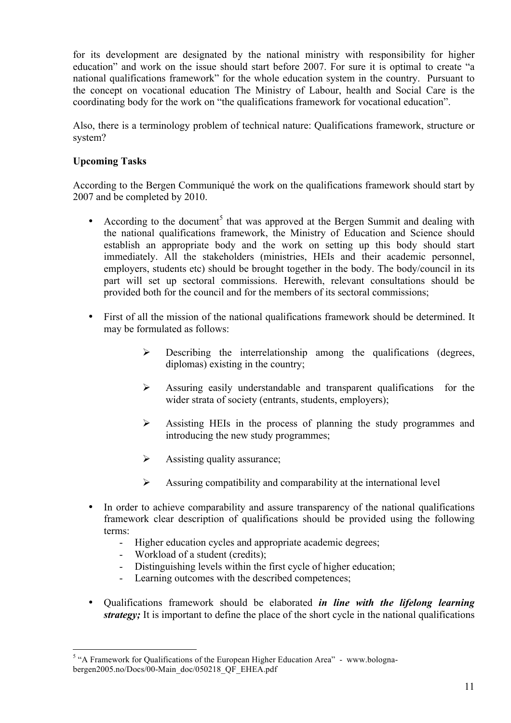for its development are designated by the national ministry with responsibility for higher education" and work on the issue should start before 2007. For sure it is optimal to create "a national qualifications framework" for the whole education system in the country. Pursuant to the concept on vocational education The Ministry of Labour, health and Social Care is the coordinating body for the work on "the qualifications framework for vocational education".

Also, there is a terminology problem of technical nature: Qualifications framework, structure or system?

### **Upcoming Tasks**

According to the Bergen Communiqué the work on the qualifications framework should start by 2007 and be completed by 2010.

- According to the document<sup>5</sup> that was approved at the Bergen Summit and dealing with the national qualifications framework, the Ministry of Education and Science should establish an appropriate body and the work on setting up this body should start immediately. All the stakeholders (ministries, HEIs and their academic personnel, employers, students etc) should be brought together in the body. The body/council in its part will set up sectoral commissions. Herewith, relevant consultations should be provided both for the council and for the members of its sectoral commissions;
- First of all the mission of the national qualifications framework should be determined. It may be formulated as follows:
	- $\triangleright$  Describing the interrelationship among the qualifications (degrees, diplomas) existing in the country;
	- $\triangleright$  Assuring easily understandable and transparent qualifications for the wider strata of society (entrants, students, employers);
	- $\triangleright$  Assisting HEIs in the process of planning the study programmes and introducing the new study programmes;
	- $\triangleright$  Assisting quality assurance;
	- $\triangleright$  Assuring compatibility and comparability at the international level
- In order to achieve comparability and assure transparency of the national qualifications framework clear description of qualifications should be provided using the following terms:
	- Higher education cycles and appropriate academic degrees;
	- Workload of a student (credits);
	- Distinguishing levels within the first cycle of higher education;
	- Learning outcomes with the described competences;
- Qualifications framework should be elaborated *in line with the lifelong learning strategy;* It is important to define the place of the short cycle in the national qualifications

<sup>&</sup>lt;sup>5</sup> "A Framework for Qualifications of the European Higher Education Area" - www.bolognabergen2005.no/Docs/00-Main\_doc/050218\_QF\_EHEA.pdf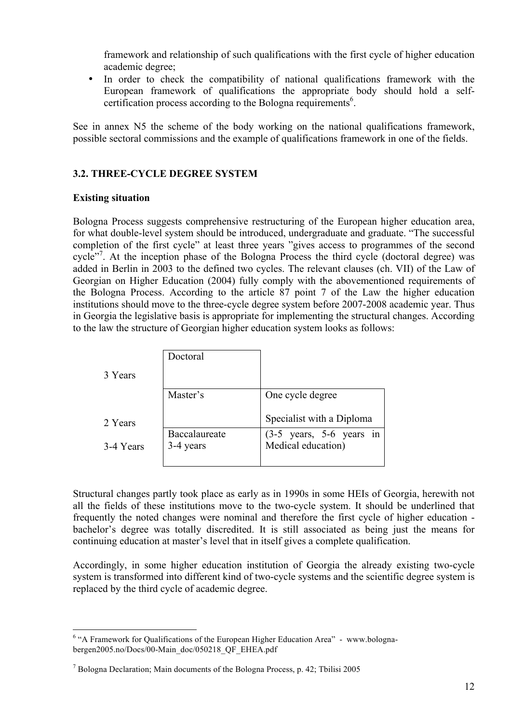framework and relationship of such qualifications with the first cycle of higher education academic degree;

• In order to check the compatibility of national qualifications framework with the European framework of qualifications the appropriate body should hold a selfcertification process according to the Bologna requirements<sup>6</sup>.

See in annex N5 the scheme of the body working on the national qualifications framework, possible sectoral commissions and the example of qualifications framework in one of the fields.

### **3.2. THREE-CYCLE DEGREE SYSTEM**

#### **Existing situation**

Bologna Process suggests comprehensive restructuring of the European higher education area, for what double-level system should be introduced, undergraduate and graduate. "The successful completion of the first cycle" at least three years "gives access to programmes of the second cycle"<sup>7</sup>. At the inception phase of the Bologna Process the third cycle (doctoral degree) was added in Berlin in 2003 to the defined two cycles. The relevant clauses (ch. VII) of the Law of Georgian on Higher Education (2004) fully comply with the abovementioned requirements of the Bologna Process. According to the article 87 point 7 of the Law the higher education institutions should move to the three-cycle degree system before 2007-2008 academic year. Thus in Georgia the legislative basis is appropriate for implementing the structural changes. According to the law the structure of Georgian higher education system looks as follows:

|           | Doctoral      |                                                                |
|-----------|---------------|----------------------------------------------------------------|
| 3 Years   |               |                                                                |
|           | Master's      | One cycle degree                                               |
| 2 Years   |               | Specialist with a Diploma                                      |
|           | Baccalaureate | $(3-5 \text{ years}, 5-6 \text{ years})$<br>Medical education) |
| 3-4 Years | 3-4 years     |                                                                |

Structural changes partly took place as early as in 1990s in some HEIs of Georgia, herewith not all the fields of these institutions move to the two-cycle system. It should be underlined that frequently the noted changes were nominal and therefore the first cycle of higher education bachelor's degree was totally discredited. It is still associated as being just the means for continuing education at master's level that in itself gives a complete qualification.

Accordingly, in some higher education institution of Georgia the already existing two-cycle system is transformed into different kind of two-cycle systems and the scientific degree system is replaced by the third cycle of academic degree.

<sup>&</sup>lt;sup>6</sup> "A Framework for Qualifications of the European Higher Education Area" - www.bolognabergen2005.no/Docs/00-Main\_doc/050218\_QF\_EHEA.pdf

 $<sup>7</sup>$  Bologna Declaration; Main documents of the Bologna Process, p. 42; Tbilisi 2005</sup>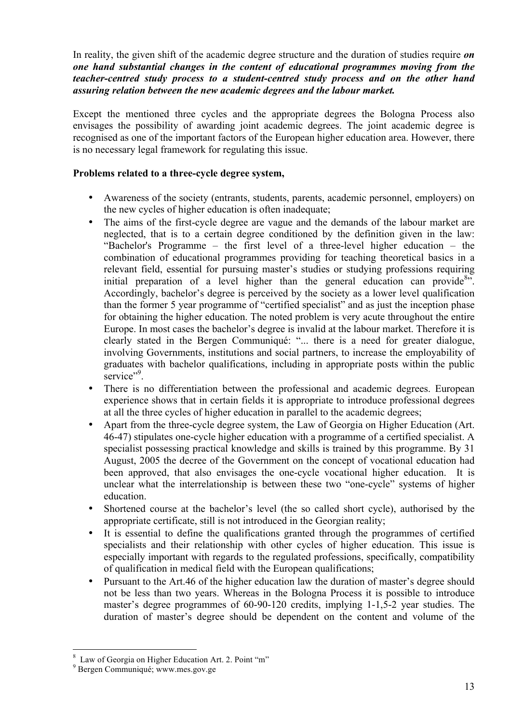In reality, the given shift of the academic degree structure and the duration of studies require *on one hand substantial changes in the content of educational programmes moving from the teacher-centred study process to a student-centred study process and on the other hand assuring relation between the new academic degrees and the labour market.* 

Except the mentioned three cycles and the appropriate degrees the Bologna Process also envisages the possibility of awarding joint academic degrees. The joint academic degree is recognised as one of the important factors of the European higher education area. However, there is no necessary legal framework for regulating this issue.

#### **Problems related to a three-cycle degree system,**

- Awareness of the society (entrants, students, parents, academic personnel, employers) on the new cycles of higher education is often inadequate;
- The aims of the first-cycle degree are vague and the demands of the labour market are neglected, that is to a certain degree conditioned by the definition given in the law: "Bachelor's Programme – the first level of a three-level higher education – the combination of educational programmes providing for teaching theoretical basics in a relevant field, essential for pursuing master's studies or studying professions requiring initial preparation of a level higher than the general education can provide<sup>8</sup>. Accordingly, bachelor's degree is perceived by the society as a lower level qualification than the former 5 year programme of "certified specialist" and as just the inception phase for obtaining the higher education. The noted problem is very acute throughout the entire Europe. In most cases the bachelor's degree is invalid at the labour market. Therefore it is clearly stated in the Bergen Communiqué: "... there is a need for greater dialogue, involving Governments, institutions and social partners, to increase the employability of graduates with bachelor qualifications, including in appropriate posts within the public service".
- There is no differentiation between the professional and academic degrees. European experience shows that in certain fields it is appropriate to introduce professional degrees at all the three cycles of higher education in parallel to the academic degrees;
- Apart from the three-cycle degree system, the Law of Georgia on Higher Education (Art. 46-47) stipulates one-cycle higher education with a programme of a certified specialist. A specialist possessing practical knowledge and skills is trained by this programme. By 31 August, 2005 the decree of the Government on the concept of vocational education had been approved, that also envisages the one-cycle vocational higher education. It is unclear what the interrelationship is between these two "one-cycle" systems of higher education.
- Shortened course at the bachelor's level (the so called short cycle), authorised by the appropriate certificate, still is not introduced in the Georgian reality;
- It is essential to define the qualifications granted through the programmes of certified specialists and their relationship with other cycles of higher education. This issue is especially important with regards to the regulated professions, specifically, compatibility of qualification in medical field with the European qualifications;
- Pursuant to the Art.46 of the higher education law the duration of master's degree should not be less than two years. Whereas in the Bologna Process it is possible to introduce master's degree programmes of 60-90-120 credits, implying 1-1,5-2 year studies. The duration of master's degree should be dependent on the content and volume of the

 <sup>8</sup>  $8\text{ Law of Georgia on Higher Education Art. 2. Point }\text{``m''}$ <br> $9\text{ Bergen Communityu\'e; www.mes.gov.ge}$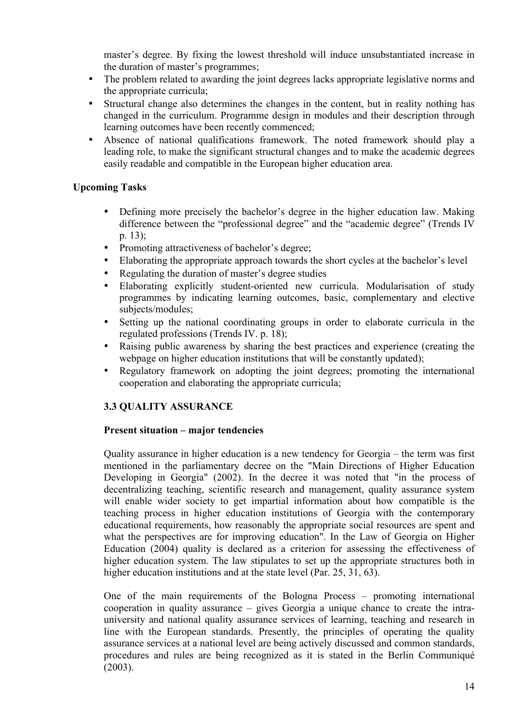master's degree. By fixing the lowest threshold will induce unsubstantiated increase in the duration of master's programmes;

- The problem related to awarding the joint degrees lacks appropriate legislative norms and the appropriate curricula;
- Structural change also determines the changes in the content, but in reality nothing has changed in the curriculum. Programme design in modules and their description through learning outcomes have been recently commenced;
- Absence of national qualifications framework. The noted framework should play a leading role, to make the significant structural changes and to make the academic degrees easily readable and compatible in the European higher education area.

### **Upcoming Tasks**

- Defining more precisely the bachelor's degree in the higher education law. Making difference between the "professional degree" and the "academic degree" (Trends IV p. 13);
- Promoting attractiveness of bachelor's degree;
- Elaborating the appropriate approach towards the short cycles at the bachelor's level
- Regulating the duration of master's degree studies
- Elaborating explicitly student-oriented new curricula. Modularisation of study programmes by indicating learning outcomes, basic, complementary and elective subjects/modules;
- Setting up the national coordinating groups in order to elaborate curricula in the regulated professions (Trends IV. p. 18);
- Raising public awareness by sharing the best practices and experience (creating the webpage on higher education institutions that will be constantly updated);
- Regulatory framework on adopting the joint degrees; promoting the international cooperation and elaborating the appropriate curricula;

# **3.3 QUALITY ASSURANCE**

#### **Present situation – major tendencies**

Quality assurance in higher education is a new tendency for Georgia – the term was first mentioned in the parliamentary decree on the "Main Directions of Higher Education Developing in Georgia" (2002). In the decree it was noted that "in the process of decentralizing teaching, scientific research and management, quality assurance system will enable wider society to get impartial information about how compatible is the teaching process in higher education institutions of Georgia with the contemporary educational requirements, how reasonably the appropriate social resources are spent and what the perspectives are for improving education". In the Law of Georgia on Higher Education (2004) quality is declared as a criterion for assessing the effectiveness of higher education system. The law stipulates to set up the appropriate structures both in higher education institutions and at the state level (Par. 25, 31, 63).

One of the main requirements of the Bologna Process – promoting international cooperation in quality assurance – gives Georgia a unique chance to create the intrauniversity and national quality assurance services of learning, teaching and research in line with the European standards. Presently, the principles of operating the quality assurance services at a national level are being actively discussed and common standards, procedures and rules are being recognized as it is stated in the Berlin Communiqué (2003).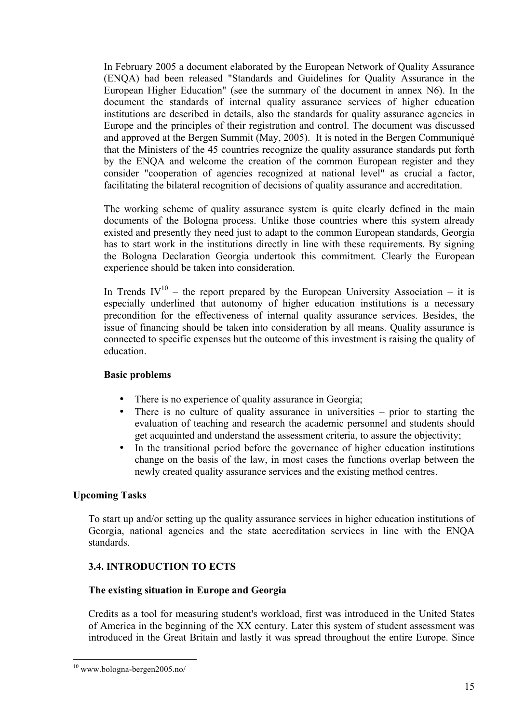In February 2005 a document elaborated by the European Network of Quality Assurance (ENQA) had been released "Standards and Guidelines for Quality Assurance in the European Higher Education" (see the summary of the document in annex N6). In the document the standards of internal quality assurance services of higher education institutions are described in details, also the standards for quality assurance agencies in Europe and the principles of their registration and control. The document was discussed and approved at the Bergen Summit (May, 2005). It is noted in the Bergen Communiqué that the Ministers of the 45 countries recognize the quality assurance standards put forth by the ENQA and welcome the creation of the common European register and they consider "cooperation of agencies recognized at national level" as crucial a factor, facilitating the bilateral recognition of decisions of quality assurance and accreditation.

The working scheme of quality assurance system is quite clearly defined in the main documents of the Bologna process. Unlike those countries where this system already existed and presently they need just to adapt to the common European standards, Georgia has to start work in the institutions directly in line with these requirements. By signing the Bologna Declaration Georgia undertook this commitment. Clearly the European experience should be taken into consideration.

In Trends  $IV^{10}$  – the report prepared by the European University Association – it is especially underlined that autonomy of higher education institutions is a necessary precondition for the effectiveness of internal quality assurance services. Besides, the issue of financing should be taken into consideration by all means. Quality assurance is connected to specific expenses but the outcome of this investment is raising the quality of education.

#### **Basic problems**

- There is no experience of quality assurance in Georgia;<br>• There is no culture of quality assurance in university
- There is no culture of quality assurance in universities prior to starting the evaluation of teaching and research the academic personnel and students should get acquainted and understand the assessment criteria, to assure the objectivity;
- In the transitional period before the governance of higher education institutions change on the basis of the law, in most cases the functions overlap between the newly created quality assurance services and the existing method centres.

#### **Upcoming Tasks**

To start up and/or setting up the quality assurance services in higher education institutions of Georgia, national agencies and the state accreditation services in line with the ENQA standards.

#### **3.4. INTRODUCTION TO ECTS**

#### **The existing situation in Europe and Georgia**

Credits as a tool for measuring student's workload, first was introduced in the United States of America in the beginning of the XX century. Later this system of student assessment was introduced in the Great Britain and lastly it was spread throughout the entire Europe. Since

 <sup>10</sup> www.bologna-bergen2005.no/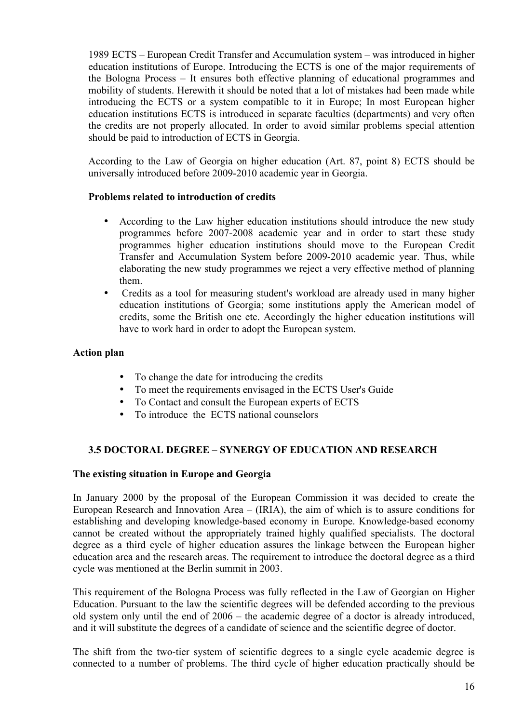1989 ECTS – European Credit Transfer and Accumulation system – was introduced in higher education institutions of Europe. Introducing the ECTS is one of the major requirements of the Bologna Process – It ensures both effective planning of educational programmes and mobility of students. Herewith it should be noted that a lot of mistakes had been made while introducing the ECTS or a system compatible to it in Europe; In most European higher education institutions ECTS is introduced in separate faculties (departments) and very often the credits are not properly allocated. In order to avoid similar problems special attention should be paid to introduction of ECTS in Georgia.

According to the Law of Georgia on higher education (Art. 87, point 8) ECTS should be universally introduced before 2009-2010 academic year in Georgia.

#### **Problems related to introduction of credits**

- According to the Law higher education institutions should introduce the new study programmes before 2007-2008 academic year and in order to start these study programmes higher education institutions should move to the European Credit Transfer and Accumulation System before 2009-2010 academic year. Thus, while elaborating the new study programmes we reject a very effective method of planning them.
- Credits as a tool for measuring student's workload are already used in many higher education institutions of Georgia; some institutions apply the American model of credits, some the British one etc. Accordingly the higher education institutions will have to work hard in order to adopt the European system.

#### **Action plan**

- To change the date for introducing the credits
- To meet the requirements envisaged in the ECTS User's Guide
- To Contact and consult the European experts of ECTS
- To introduce the ECTS national counselors

#### **3.5 DOCTORAL DEGREE – SYNERGY OF EDUCATION AND RESEARCH**

#### **The existing situation in Europe and Georgia**

In January 2000 by the proposal of the European Commission it was decided to create the European Research and Innovation Area – (IRIA), the aim of which is to assure conditions for establishing and developing knowledge-based economy in Europe. Knowledge-based economy cannot be created without the appropriately trained highly qualified specialists. The doctoral degree as a third cycle of higher education assures the linkage between the European higher education area and the research areas. The requirement to introduce the doctoral degree as a third cycle was mentioned at the Berlin summit in 2003.

This requirement of the Bologna Process was fully reflected in the Law of Georgian on Higher Education. Pursuant to the law the scientific degrees will be defended according to the previous old system only until the end of 2006 – the academic degree of a doctor is already introduced, and it will substitute the degrees of a candidate of science and the scientific degree of doctor.

The shift from the two-tier system of scientific degrees to a single cycle academic degree is connected to a number of problems. The third cycle of higher education practically should be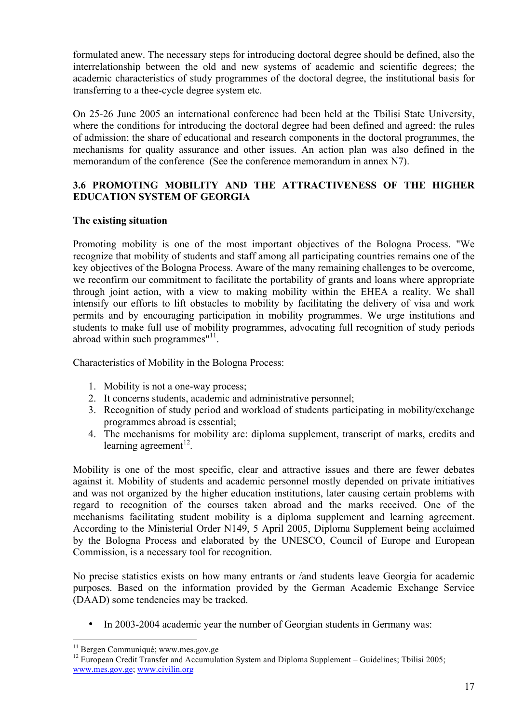formulated anew. The necessary steps for introducing doctoral degree should be defined, also the interrelationship between the old and new systems of academic and scientific degrees; the academic characteristics of study programmes of the doctoral degree, the institutional basis for transferring to a thee-cycle degree system etc.

On 25-26 June 2005 an international conference had been held at the Tbilisi State University, where the conditions for introducing the doctoral degree had been defined and agreed: the rules of admission; the share of educational and research components in the doctoral programmes, the mechanisms for quality assurance and other issues. An action plan was also defined in the memorandum of the conference (See the conference memorandum in annex N7).

### **3.6 PROMOTING MOBILITY AND THE ATTRACTIVENESS OF THE HIGHER EDUCATION SYSTEM OF GEORGIA**

#### **The existing situation**

Promoting mobility is one of the most important objectives of the Bologna Process. "We recognize that mobility of students and staff among all participating countries remains one of the key objectives of the Bologna Process. Aware of the many remaining challenges to be overcome, we reconfirm our commitment to facilitate the portability of grants and loans where appropriate through joint action, with a view to making mobility within the EHEA a reality. We shall intensify our efforts to lift obstacles to mobility by facilitating the delivery of visa and work permits and by encouraging participation in mobility programmes. We urge institutions and students to make full use of mobility programmes, advocating full recognition of study periods abroad within such programmes"<sup>11</sup>.

Characteristics of Mobility in the Bologna Process:

- 1. Mobility is not a one-way process;
- 2. It concerns students, academic and administrative personnel;
- 3. Recognition of study period and workload of students participating in mobility/exchange programmes abroad is essential;
- 4. The mechanisms for mobility are: diploma supplement, transcript of marks, credits and learning agreement<sup>12</sup>.

Mobility is one of the most specific, clear and attractive issues and there are fewer debates against it. Mobility of students and academic personnel mostly depended on private initiatives and was not organized by the higher education institutions, later causing certain problems with regard to recognition of the courses taken abroad and the marks received. One of the mechanisms facilitating student mobility is a diploma supplement and learning agreement. According to the Ministerial Order N149, 5 April 2005, Diploma Supplement being acclaimed by the Bologna Process and elaborated by the UNESCO, Council of Europe and European Commission, is a necessary tool for recognition.

No precise statistics exists on how many entrants or /and students leave Georgia for academic purposes. Based on the information provided by the German Academic Exchange Service (DAAD) some tendencies may be tracked.

• In 2003-2004 academic year the number of Georgian students in Germany was:

<sup>&</sup>lt;sup>11</sup> Bergen Communiqué; www.mes.gov.ge<br><sup>12</sup> European Credit Transfer and Accumulation System and Diploma Supplement – Guidelines; Tbilisi 2005; www.mes.gov.ge; www.civilin.org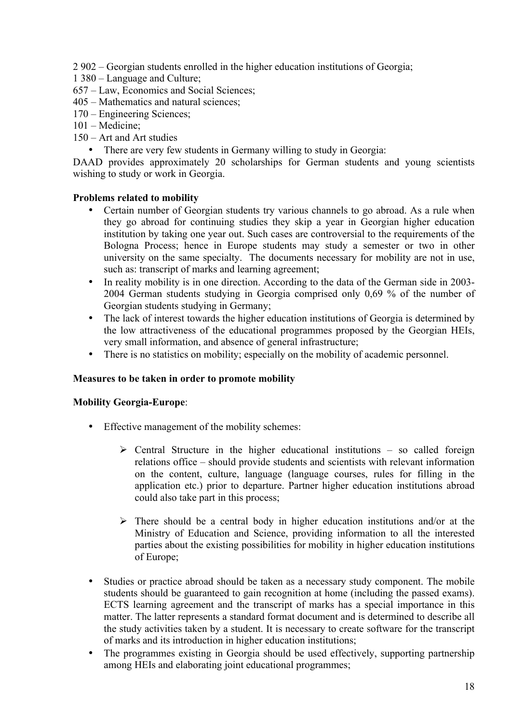2 902 – Georgian students enrolled in the higher education institutions of Georgia;

- 1 380 Language and Culture;
- 657 Law, Economics and Social Sciences;
- 405 Mathematics and natural sciences;
- 170 Engineering Sciences;
- 101 Medicine;
- 150 Art and Art studies
	- There are very few students in Germany willing to study in Georgia:

DAAD provides approximately 20 scholarships for German students and young scientists wishing to study or work in Georgia.

#### **Problems related to mobility**

- Certain number of Georgian students try various channels to go abroad. As a rule when they go abroad for continuing studies they skip a year in Georgian higher education institution by taking one year out. Such cases are controversial to the requirements of the Bologna Process; hence in Europe students may study a semester or two in other university on the same specialty. The documents necessary for mobility are not in use, such as: transcript of marks and learning agreement;
- In reality mobility is in one direction. According to the data of the German side in 2003- 2004 German students studying in Georgia comprised only 0,69 % of the number of Georgian students studying in Germany;
- The lack of interest towards the higher education institutions of Georgia is determined by the low attractiveness of the educational programmes proposed by the Georgian HEIs, very small information, and absence of general infrastructure;
- There is no statistics on mobility; especially on the mobility of academic personnel.

#### **Measures to be taken in order to promote mobility**

#### **Mobility Georgia-Europe**:

- Effective management of the mobility schemes:
	- $\triangleright$  Central Structure in the higher educational institutions so called foreign relations office – should provide students and scientists with relevant information on the content, culture, language (language courses, rules for filling in the application etc.) prior to departure. Partner higher education institutions abroad could also take part in this process;
	- $\triangleright$  There should be a central body in higher education institutions and/or at the Ministry of Education and Science, providing information to all the interested parties about the existing possibilities for mobility in higher education institutions of Europe;
- Studies or practice abroad should be taken as a necessary study component. The mobile students should be guaranteed to gain recognition at home (including the passed exams). ECTS learning agreement and the transcript of marks has a special importance in this matter. The latter represents a standard format document and is determined to describe all the study activities taken by a student. It is necessary to create software for the transcript of marks and its introduction in higher education institutions;
- The programmes existing in Georgia should be used effectively, supporting partnership among HEIs and elaborating joint educational programmes;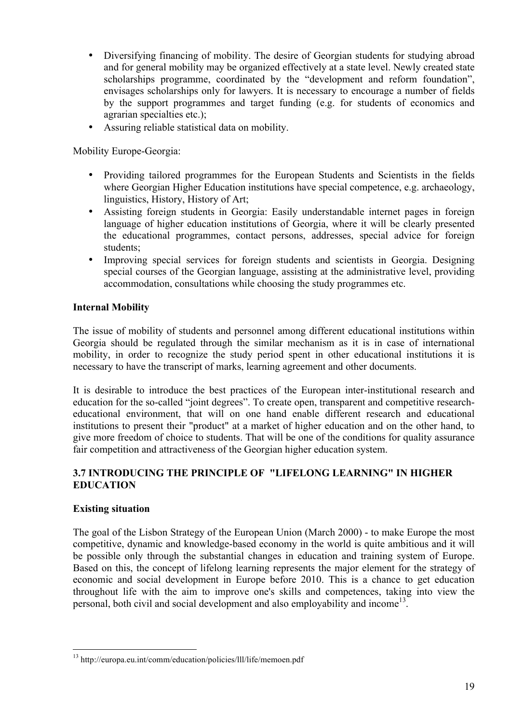- Diversifying financing of mobility. The desire of Georgian students for studying abroad and for general mobility may be organized effectively at a state level. Newly created state scholarships programme, coordinated by the "development and reform foundation", envisages scholarships only for lawyers. It is necessary to encourage a number of fields by the support programmes and target funding (e.g. for students of economics and agrarian specialties etc.);
- Assuring reliable statistical data on mobility.

Mobility Europe-Georgia:

- Providing tailored programmes for the European Students and Scientists in the fields where Georgian Higher Education institutions have special competence, e.g. archaeology, linguistics, History, History of Art;
- Assisting foreign students in Georgia: Easily understandable internet pages in foreign language of higher education institutions of Georgia, where it will be clearly presented the educational programmes, contact persons, addresses, special advice for foreign students;
- Improving special services for foreign students and scientists in Georgia. Designing special courses of the Georgian language, assisting at the administrative level, providing accommodation, consultations while choosing the study programmes etc.

# **Internal Mobility**

The issue of mobility of students and personnel among different educational institutions within Georgia should be regulated through the similar mechanism as it is in case of international mobility, in order to recognize the study period spent in other educational institutions it is necessary to have the transcript of marks, learning agreement and other documents.

It is desirable to introduce the best practices of the European inter-institutional research and education for the so-called "joint degrees". To create open, transparent and competitive researcheducational environment, that will on one hand enable different research and educational institutions to present their "product" at a market of higher education and on the other hand, to give more freedom of choice to students. That will be one of the conditions for quality assurance fair competition and attractiveness of the Georgian higher education system.

# **3.7 INTRODUCING THE PRINCIPLE OF "LIFELONG LEARNING" IN HIGHER EDUCATION**

# **Existing situation**

The goal of the Lisbon Strategy of the European Union (March 2000) - to make Europe the most competitive, dynamic and knowledge-based economy in the world is quite ambitious and it will be possible only through the substantial changes in education and training system of Europe. Based on this, the concept of lifelong learning represents the major element for the strategy of economic and social development in Europe before 2010. This is a chance to get education throughout life with the aim to improve one's skills and competences, taking into view the personal, both civil and social development and also employability and income<sup>13</sup>.

 <sup>13</sup> http://europa.eu.int/comm/education/policies/lll/life/memoen.pdf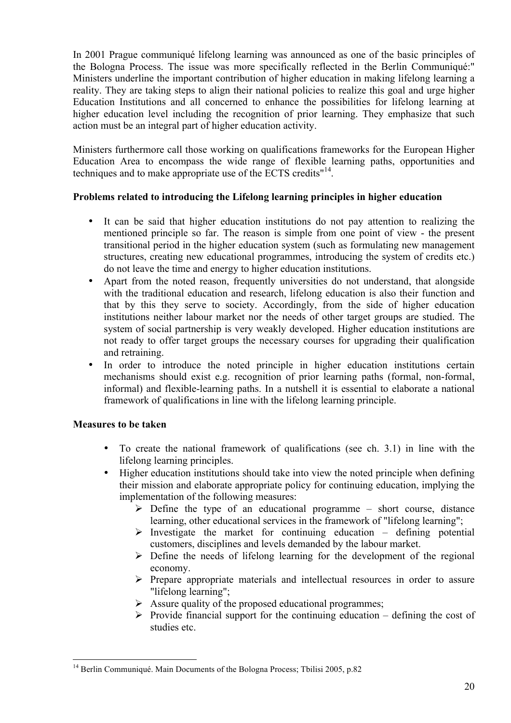In 2001 Prague communiqué lifelong learning was announced as one of the basic principles of the Bologna Process. The issue was more specifically reflected in the Berlin Communiqué:" Ministers underline the important contribution of higher education in making lifelong learning a reality. They are taking steps to align their national policies to realize this goal and urge higher Education Institutions and all concerned to enhance the possibilities for lifelong learning at higher education level including the recognition of prior learning. They emphasize that such action must be an integral part of higher education activity.

Ministers furthermore call those working on qualifications frameworks for the European Higher Education Area to encompass the wide range of flexible learning paths, opportunities and techniques and to make appropriate use of the ECTS credits<sup>"14</sup>.

### **Problems related to introducing the Lifelong learning principles in higher education**

- It can be said that higher education institutions do not pay attention to realizing the mentioned principle so far. The reason is simple from one point of view - the present transitional period in the higher education system (such as formulating new management structures, creating new educational programmes, introducing the system of credits etc.) do not leave the time and energy to higher education institutions.
- Apart from the noted reason, frequently universities do not understand, that alongside with the traditional education and research, lifelong education is also their function and that by this they serve to society. Accordingly, from the side of higher education institutions neither labour market nor the needs of other target groups are studied. The system of social partnership is very weakly developed. Higher education institutions are not ready to offer target groups the necessary courses for upgrading their qualification and retraining.
- In order to introduce the noted principle in higher education institutions certain mechanisms should exist e.g. recognition of prior learning paths (formal, non-formal, informal) and flexible-learning paths. In a nutshell it is essential to elaborate a national framework of qualifications in line with the lifelong learning principle.

#### **Measures to be taken**

- To create the national framework of qualifications (see ch. 3.1) in line with the lifelong learning principles.
- Higher education institutions should take into view the noted principle when defining their mission and elaborate appropriate policy for continuing education, implying the implementation of the following measures:
	- $\triangleright$  Define the type of an educational programme short course, distance learning, other educational services in the framework of "lifelong learning";
	- $\triangleright$  Investigate the market for continuing education defining potential customers, disciplines and levels demanded by the labour market.
	- $\triangleright$  Define the needs of lifelong learning for the development of the regional economy.
	- $\triangleright$  Prepare appropriate materials and intellectual resources in order to assure "lifelong learning";
	- $\triangleright$  Assure quality of the proposed educational programmes;
	- $\triangleright$  Provide financial support for the continuing education defining the cost of studies etc.

<sup>&</sup>lt;sup>14</sup> Berlin Communiqué. Main Documents of the Bologna Process; Tbilisi 2005, p.82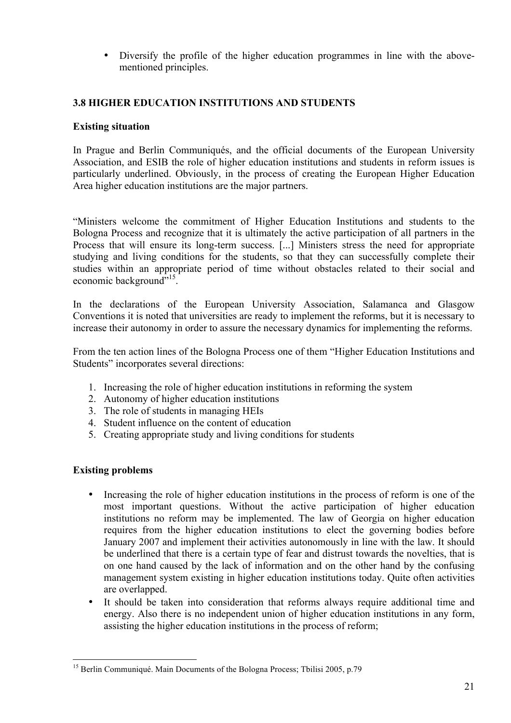• Diversify the profile of the higher education programmes in line with the abovementioned principles.

# **3.8 HIGHER EDUCATION INSTITUTIONS AND STUDENTS**

#### **Existing situation**

In Prague and Berlin Communiqués, and the official documents of the European University Association, and ESIB the role of higher education institutions and students in reform issues is particularly underlined. Obviously, in the process of creating the European Higher Education Area higher education institutions are the major partners.

"Ministers welcome the commitment of Higher Education Institutions and students to the Bologna Process and recognize that it is ultimately the active participation of all partners in the Process that will ensure its long-term success. [...] Ministers stress the need for appropriate studying and living conditions for the students, so that they can successfully complete their studies within an appropriate period of time without obstacles related to their social and economic background"<sup>15</sup>.

In the declarations of the European University Association, Salamanca and Glasgow Conventions it is noted that universities are ready to implement the reforms, but it is necessary to increase their autonomy in order to assure the necessary dynamics for implementing the reforms.

From the ten action lines of the Bologna Process one of them "Higher Education Institutions and Students" incorporates several directions:

- 1. Increasing the role of higher education institutions in reforming the system
- 2. Autonomy of higher education institutions
- 3. The role of students in managing HEIs
- 4. Student influence on the content of education
- 5. Creating appropriate study and living conditions for students

#### **Existing problems**

- Increasing the role of higher education institutions in the process of reform is one of the most important questions. Without the active participation of higher education institutions no reform may be implemented. The law of Georgia on higher education requires from the higher education institutions to elect the governing bodies before January 2007 and implement their activities autonomously in line with the law. It should be underlined that there is a certain type of fear and distrust towards the novelties, that is on one hand caused by the lack of information and on the other hand by the confusing management system existing in higher education institutions today. Quite often activities are overlapped.
- It should be taken into consideration that reforms always require additional time and energy. Also there is no independent union of higher education institutions in any form, assisting the higher education institutions in the process of reform;

<sup>&</sup>lt;sup>15</sup> Berlin Communiqué. Main Documents of the Bologna Process; Tbilisi 2005, p.79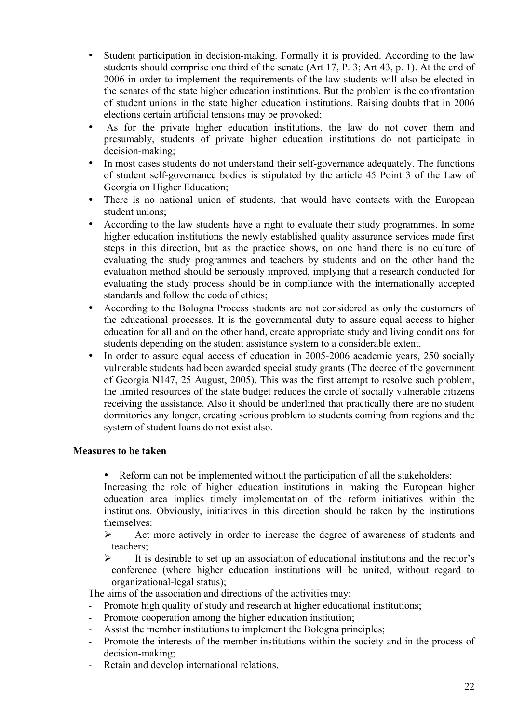- Student participation in decision-making. Formally it is provided. According to the law students should comprise one third of the senate (Art 17, P. 3; Art 43, p. 1). At the end of 2006 in order to implement the requirements of the law students will also be elected in the senates of the state higher education institutions. But the problem is the confrontation of student unions in the state higher education institutions. Raising doubts that in 2006 elections certain artificial tensions may be provoked;
- As for the private higher education institutions, the law do not cover them and presumably, students of private higher education institutions do not participate in decision-making;
- In most cases students do not understand their self-governance adequately. The functions of student self-governance bodies is stipulated by the article 45 Point 3 of the Law of Georgia on Higher Education;
- There is no national union of students, that would have contacts with the European student unions;
- According to the law students have a right to evaluate their study programmes. In some higher education institutions the newly established quality assurance services made first steps in this direction, but as the practice shows, on one hand there is no culture of evaluating the study programmes and teachers by students and on the other hand the evaluation method should be seriously improved, implying that a research conducted for evaluating the study process should be in compliance with the internationally accepted standards and follow the code of ethics;
- According to the Bologna Process students are not considered as only the customers of the educational processes. It is the governmental duty to assure equal access to higher education for all and on the other hand, create appropriate study and living conditions for students depending on the student assistance system to a considerable extent.
- In order to assure equal access of education in 2005-2006 academic years, 250 socially vulnerable students had been awarded special study grants (The decree of the government of Georgia N147, 25 August, 2005). This was the first attempt to resolve such problem, the limited resources of the state budget reduces the circle of socially vulnerable citizens receiving the assistance. Also it should be underlined that practically there are no student dormitories any longer, creating serious problem to students coming from regions and the system of student loans do not exist also.

#### **Measures to be taken**

• Reform can not be implemented without the participation of all the stakeholders:

Increasing the role of higher education institutions in making the European higher education area implies timely implementation of the reform initiatives within the institutions. Obviously, initiatives in this direction should be taken by the institutions themselves:

 $\triangleright$  Act more actively in order to increase the degree of awareness of students and teachers;

 $\triangleright$  It is desirable to set up an association of educational institutions and the rector's conference (where higher education institutions will be united, without regard to organizational-legal status);

The aims of the association and directions of the activities may:

- Promote high quality of study and research at higher educational institutions;
- Promote cooperation among the higher education institution;
- Assist the member institutions to implement the Bologna principles;
- Promote the interests of the member institutions within the society and in the process of decision-making;
- Retain and develop international relations.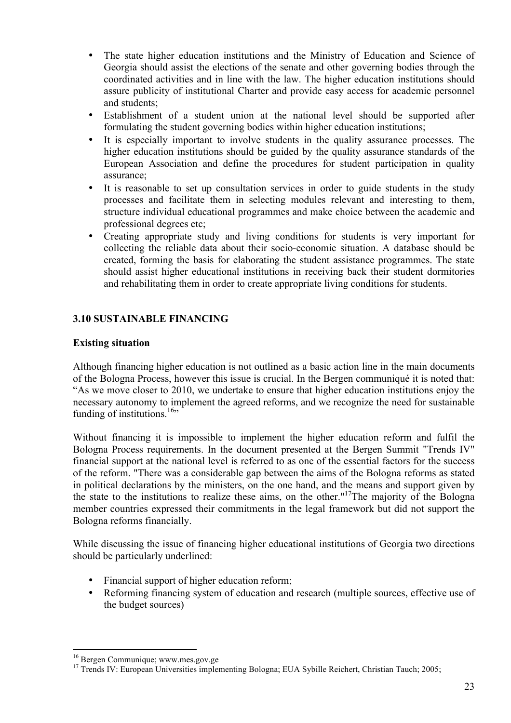- The state higher education institutions and the Ministry of Education and Science of Georgia should assist the elections of the senate and other governing bodies through the coordinated activities and in line with the law. The higher education institutions should assure publicity of institutional Charter and provide easy access for academic personnel and students;
- Establishment of a student union at the national level should be supported after formulating the student governing bodies within higher education institutions;
- It is especially important to involve students in the quality assurance processes. The higher education institutions should be guided by the quality assurance standards of the European Association and define the procedures for student participation in quality assurance;
- It is reasonable to set up consultation services in order to guide students in the study processes and facilitate them in selecting modules relevant and interesting to them, structure individual educational programmes and make choice between the academic and professional degrees etc;
- Creating appropriate study and living conditions for students is very important for collecting the reliable data about their socio-economic situation. A database should be created, forming the basis for elaborating the student assistance programmes. The state should assist higher educational institutions in receiving back their student dormitories and rehabilitating them in order to create appropriate living conditions for students.

## **3.10 SUSTAINABLE FINANCING**

#### **Existing situation**

Although financing higher education is not outlined as a basic action line in the main documents of the Bologna Process, however this issue is crucial. In the Bergen communiqué it is noted that: "As we move closer to 2010, we undertake to ensure that higher education institutions enjoy the necessary autonomy to implement the agreed reforms, and we recognize the need for sustainable funding of institutions.<sup>16</sup>"

Without financing it is impossible to implement the higher education reform and fulfil the Bologna Process requirements. In the document presented at the Bergen Summit "Trends IV" financial support at the national level is referred to as one of the essential factors for the success of the reform. "There was a considerable gap between the aims of the Bologna reforms as stated in political declarations by the ministers, on the one hand, and the means and support given by the state to the institutions to realize these aims, on the other."17The majority of the Bologna member countries expressed their commitments in the legal framework but did not support the Bologna reforms financially.

While discussing the issue of financing higher educational institutions of Georgia two directions should be particularly underlined:

- Financial support of higher education reform;
- Reforming financing system of education and research (multiple sources, effective use of the budget sources)

<sup>&</sup>lt;sup>16</sup> Bergen Communique; www.mes.gov.ge<br><sup>17</sup> Trends IV: European Universities implementing Bologna; EUA Sybille Reichert, Christian Tauch; 2005;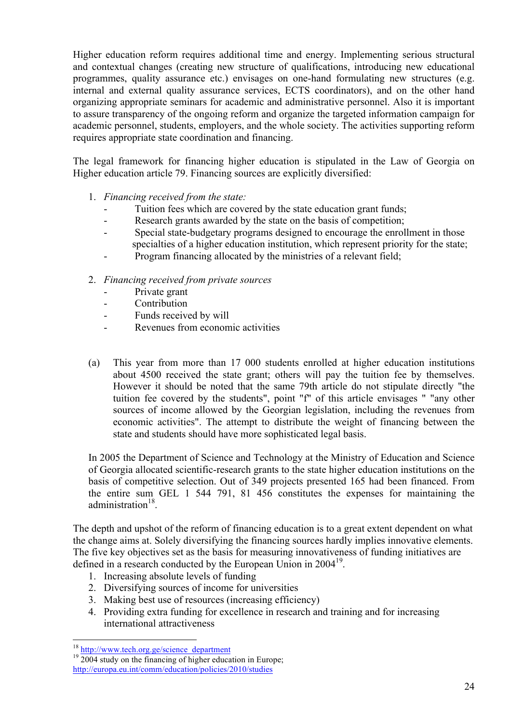Higher education reform requires additional time and energy. Implementing serious structural and contextual changes (creating new structure of qualifications, introducing new educational programmes, quality assurance etc.) envisages on one-hand formulating new structures (e.g. internal and external quality assurance services, ECTS coordinators), and on the other hand organizing appropriate seminars for academic and administrative personnel. Also it is important to assure transparency of the ongoing reform and organize the targeted information campaign for academic personnel, students, employers, and the whole society. The activities supporting reform requires appropriate state coordination and financing.

The legal framework for financing higher education is stipulated in the Law of Georgia on Higher education article 79. Financing sources are explicitly diversified:

- 1. *Financing received from the state:*
	- Tuition fees which are covered by the state education grant funds;
	- Research grants awarded by the state on the basis of competition;
	- Special state-budgetary programs designed to encourage the enrollment in those specialties of a higher education institution, which represent priority for the state;
	- Program financing allocated by the ministries of a relevant field;
- 2. *Financing received from private sources*
	- Private grant
	- Contribution
	- Funds received by will
	- Revenues from economic activities
- (a) This year from more than 17 000 students enrolled at higher education institutions about 4500 received the state grant; others will pay the tuition fee by themselves. However it should be noted that the same 79th article do not stipulate directly "the tuition fee covered by the students", point "f" of this article envisages " "any other sources of income allowed by the Georgian legislation, including the revenues from economic activities". The attempt to distribute the weight of financing between the state and students should have more sophisticated legal basis.

In 2005 the Department of Science and Technology at the Ministry of Education and Science of Georgia allocated scientific-research grants to the state higher education institutions on the basis of competitive selection. Out of 349 projects presented 165 had been financed. From the entire sum GEL 1 544 791, 81 456 constitutes the expenses for maintaining the administration $18$ .

The depth and upshot of the reform of financing education is to a great extent dependent on what the change aims at. Solely diversifying the financing sources hardly implies innovative elements. The five key objectives set as the basis for measuring innovativeness of funding initiatives are defined in a research conducted by the European Union in 2004<sup>19</sup>.

- 1. Increasing absolute levels of funding
- 2. Diversifying sources of income for universities
- 3. Making best use of resources (increasing efficiency)
- 4. Providing extra funding for excellence in research and training and for increasing international attractiveness

 $18 \frac{\text{http://www.tech.org.ge/science-dependent}}{2004 \text{ study on the financing of higher education in Europe}}$ ; http://europa.eu.int/comm/education/policies/2010/studies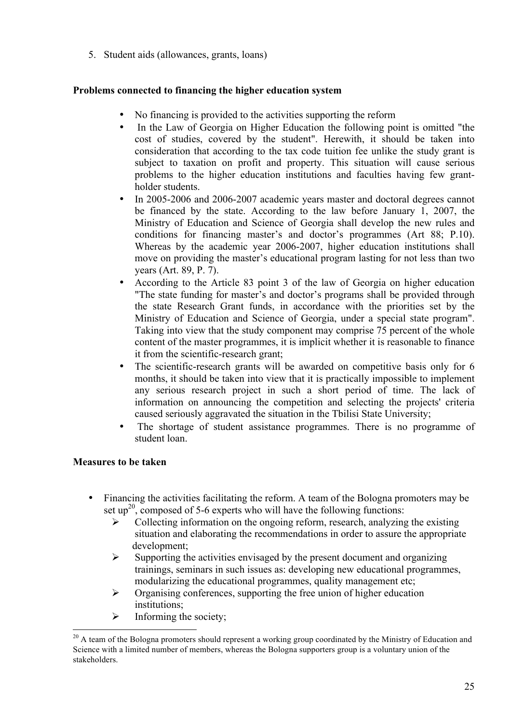5. Student aids (allowances, grants, loans)

# **Problems connected to financing the higher education system**

- No financing is provided to the activities supporting the reform
- In the Law of Georgia on Higher Education the following point is omitted "the cost of studies, covered by the student". Herewith, it should be taken into consideration that according to the tax code tuition fee unlike the study grant is subject to taxation on profit and property. This situation will cause serious problems to the higher education institutions and faculties having few grantholder students.
- In 2005-2006 and 2006-2007 academic years master and doctoral degrees cannot be financed by the state. According to the law before January 1, 2007, the Ministry of Education and Science of Georgia shall develop the new rules and conditions for financing master's and doctor's programmes (Art 88; P.10). Whereas by the academic year 2006-2007, higher education institutions shall move on providing the master's educational program lasting for not less than two years (Art. 89, P. 7).
- According to the Article 83 point 3 of the law of Georgia on higher education "The state funding for master's and doctor's programs shall be provided through the state Research Grant funds, in accordance with the priorities set by the Ministry of Education and Science of Georgia, under a special state program". Taking into view that the study component may comprise 75 percent of the whole content of the master programmes, it is implicit whether it is reasonable to finance it from the scientific-research grant;
- The scientific-research grants will be awarded on competitive basis only for 6 months, it should be taken into view that it is practically impossible to implement any serious research project in such a short period of time. The lack of information on announcing the competition and selecting the projects' criteria caused seriously aggravated the situation in the Tbilisi State University;
- The shortage of student assistance programmes. There is no programme of student loan.

# **Measures to be taken**

- Financing the activities facilitating the reform. A team of the Bologna promoters may be set  $up^{20}$ , composed of 5-6 experts who will have the following functions:
	- $\triangleright$  Collecting information on the ongoing reform, research, analyzing the existing situation and elaborating the recommendations in order to assure the appropriate development;
	- $\triangleright$  Supporting the activities envisaged by the present document and organizing trainings, seminars in such issues as: developing new educational programmes, modularizing the educational programmes, quality management etc;
	- $\triangleright$  Organising conferences, supporting the free union of higher education institutions;
	- $\triangleright$  Informing the society:

 $20$  A team of the Bologna promoters should represent a working group coordinated by the Ministry of Education and Science with a limited number of members, whereas the Bologna supporters group is a voluntary union of the stakeholders.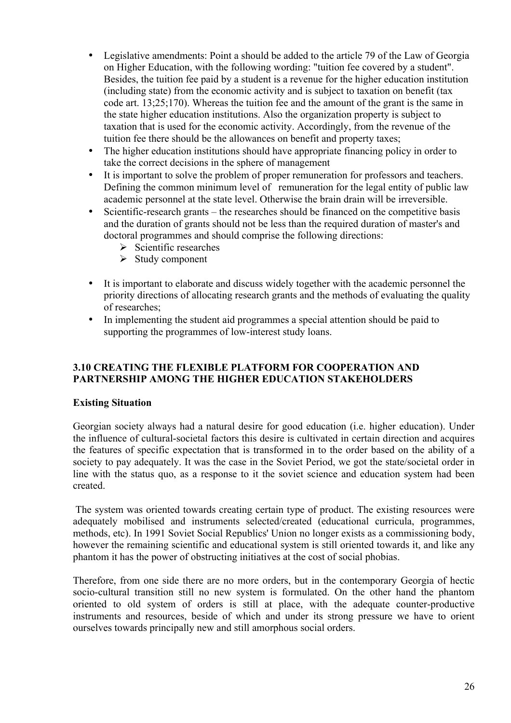- Legislative amendments: Point a should be added to the article 79 of the Law of Georgia on Higher Education, with the following wording: "tuition fee covered by a student". Besides, the tuition fee paid by a student is a revenue for the higher education institution (including state) from the economic activity and is subject to taxation on benefit (tax code art. 13;25;170). Whereas the tuition fee and the amount of the grant is the same in the state higher education institutions. Also the organization property is subject to taxation that is used for the economic activity. Accordingly, from the revenue of the tuition fee there should be the allowances on benefit and property taxes;
- The higher education institutions should have appropriate financing policy in order to take the correct decisions in the sphere of management
- It is important to solve the problem of proper remuneration for professors and teachers. Defining the common minimum level of remuneration for the legal entity of public law academic personnel at the state level. Otherwise the brain drain will be irreversible.
- Scientific-research grants the researches should be financed on the competitive basis and the duration of grants should not be less than the required duration of master's and doctoral programmes and should comprise the following directions:
	- $\triangleright$  Scientific researches
	- $\triangleright$  Study component
- It is important to elaborate and discuss widely together with the academic personnel the priority directions of allocating research grants and the methods of evaluating the quality of researches;
- In implementing the student aid programmes a special attention should be paid to supporting the programmes of low-interest study loans.

#### **3.10 CREATING THE FLEXIBLE PLATFORM FOR COOPERATION AND PARTNERSHIP AMONG THE HIGHER EDUCATION STAKEHOLDERS**

#### **Existing Situation**

Georgian society always had a natural desire for good education (i.e. higher education). Under the influence of cultural-societal factors this desire is cultivated in certain direction and acquires the features of specific expectation that is transformed in to the order based on the ability of a society to pay adequately. It was the case in the Soviet Period, we got the state/societal order in line with the status quo, as a response to it the soviet science and education system had been created.

The system was oriented towards creating certain type of product. The existing resources were adequately mobilised and instruments selected/created (educational curricula, programmes, methods, etc). In 1991 Soviet Social Republics' Union no longer exists as a commissioning body, however the remaining scientific and educational system is still oriented towards it, and like any phantom it has the power of obstructing initiatives at the cost of social phobias.

Therefore, from one side there are no more orders, but in the contemporary Georgia of hectic socio-cultural transition still no new system is formulated. On the other hand the phantom oriented to old system of orders is still at place, with the adequate counter-productive instruments and resources, beside of which and under its strong pressure we have to orient ourselves towards principally new and still amorphous social orders.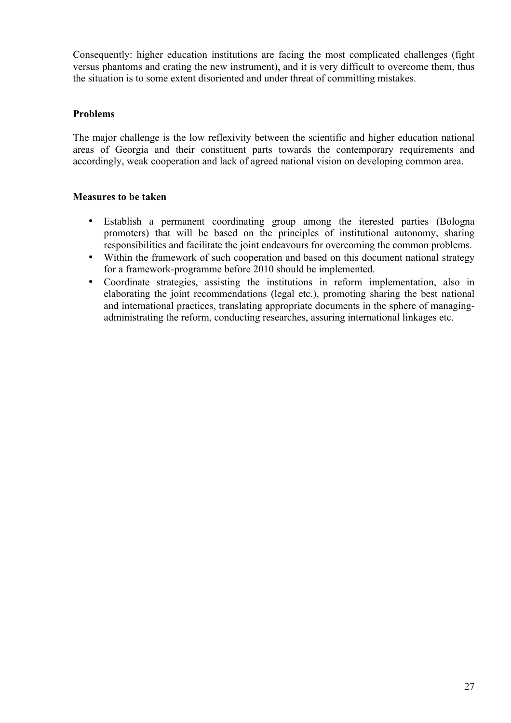Consequently: higher education institutions are facing the most complicated challenges (fight versus phantoms and crating the new instrument), and it is very difficult to overcome them, thus the situation is to some extent disoriented and under threat of committing mistakes.

#### **Problems**

The major challenge is the low reflexivity between the scientific and higher education national areas of Georgia and their constituent parts towards the contemporary requirements and accordingly, weak cooperation and lack of agreed national vision on developing common area.

#### **Measures to be taken**

- Establish a permanent coordinating group among the iterested parties (Bologna promoters) that will be based on the principles of institutional autonomy, sharing responsibilities and facilitate the joint endeavours for overcoming the common problems.
- Within the framework of such cooperation and based on this document national strategy for a framework-programme before 2010 should be implemented.
- Coordinate strategies, assisting the institutions in reform implementation, also in elaborating the joint recommendations (legal etc.), promoting sharing the best national and international practices, translating appropriate documents in the sphere of managingadministrating the reform, conducting researches, assuring international linkages etc.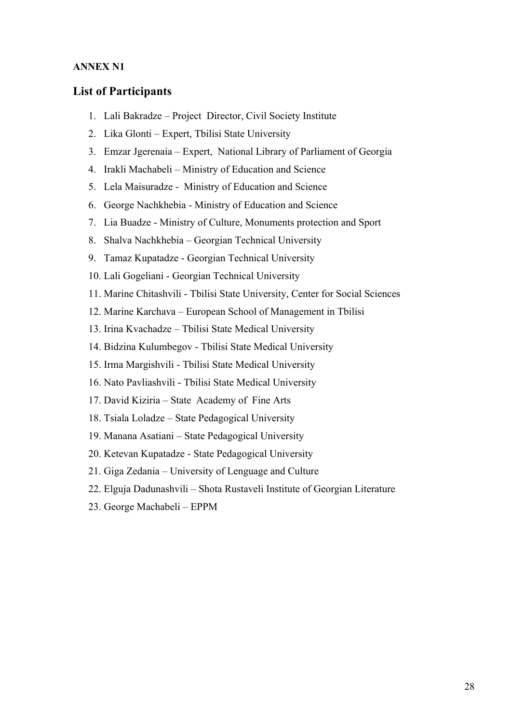#### **ANNEX N1**

#### **List of Participants**

- 1. Lali Bakradze Project Director, Civil Society Institute
- 2. Lika Glonti Expert, Tbilisi State University
- 3. Emzar Jgerenaia Expert, National Library of Parliament of Georgia
- 4. Irakli Machabeli Ministry of Education and Science
- 5. Lela Maisuradze Ministry of Education and Science
- 6. George Nachkhebia Ministry of Education and Science
- 7. Lia Buadze Ministry of Culture, Monuments protection and Sport
- 8. Shalva Nachkhebia Georgian Technical University
- 9. Tamaz Kupatadze Georgian Technical University
- 10. Lali Gogeliani Georgian Technical University
- 11. Marine Chitashvili Tbilisi State University, Center for Social Sciences
- 12. Marine Karchava European School of Management in Tbilisi
- 13. Irina Kvachadze Tbilisi State Medical University
- 14. Bidzina Kulumbegov Tbilisi State Medical University
- 15. Irma Margishvili Tbilisi State Medical University
- 16. Nato Pavliashvili Tbilisi State Medical University
- 17. David Kiziria State Academy of Fine Arts
- 18. Tsiala Loladze State Pedagogical University
- 19. Manana Asatiani State Pedagogical University
- 20. Ketevan Kupatadze State Pedagogical University
- 21. Giga Zedania University of Lenguage and Culture
- 22. Elguja Dadunashvili Shota Rustaveli Institute of Georgian Literature
- 23. George Machabeli EPPM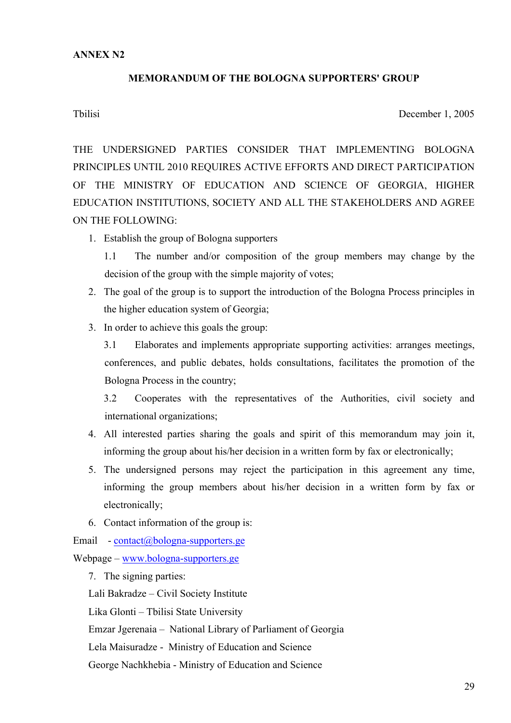#### **MEMORANDUM OF THE BOLOGNA SUPPORTERS' GROUP**

Tbilisi December 1, 2005

THE UNDERSIGNED PARTIES CONSIDER THAT IMPLEMENTING BOLOGNA PRINCIPLES UNTIL 2010 REQUIRES ACTIVE EFFORTS AND DIRECT PARTICIPATION OF THE MINISTRY OF EDUCATION AND SCIENCE OF GEORGIA, HIGHER EDUCATION INSTITUTIONS, SOCIETY AND ALL THE STAKEHOLDERS AND AGREE ON THE FOLLOWING:

1. Establish the group of Bologna supporters

1.1 The number and/or composition of the group members may change by the decision of the group with the simple majority of votes;

- 2. The goal of the group is to support the introduction of the Bologna Process principles in the higher education system of Georgia;
- 3. In order to achieve this goals the group:

3.1 Elaborates and implements appropriate supporting activities: arranges meetings, conferences, and public debates, holds consultations, facilitates the promotion of the Bologna Process in the country;

3.2 Cooperates with the representatives of the Authorities, civil society and international organizations;

- 4. All interested parties sharing the goals and spirit of this memorandum may join it, informing the group about his/her decision in a written form by fax or electronically;
- 5. The undersigned persons may reject the participation in this agreement any time, informing the group members about his/her decision in a written form by fax or electronically;
- 6. Contact information of the group is:

Email  $-$  contact@bologna-supporters.ge

Webpage – www.bologna-supporters.ge

7. The signing parties:

Lali Bakradze – Civil Society Institute

Lika Glonti – Tbilisi State University

Emzar Jgerenaia – National Library of Parliament of Georgia

Lela Maisuradze - Ministry of Education and Science

George Nachkhebia - Ministry of Education and Science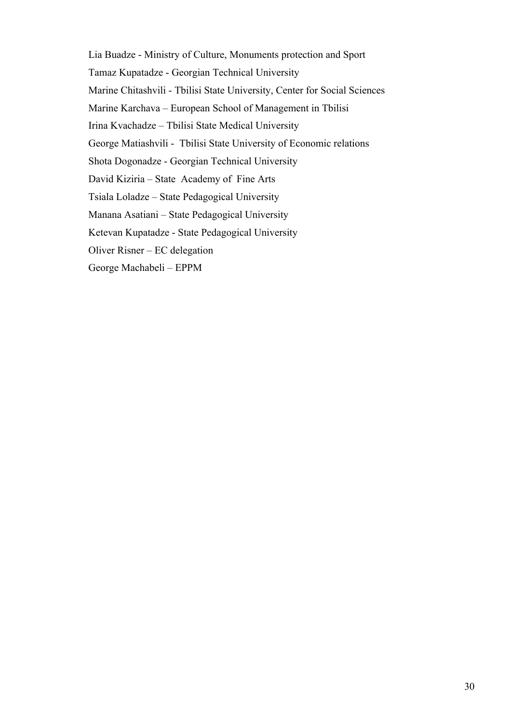Lia Buadze - Ministry of Culture, Monuments protection and Sport Tamaz Kupatadze - Georgian Technical University Marine Chitashvili - Tbilisi State University, Center for Social Sciences Marine Karchava – European School of Management in Tbilisi Irina Kvachadze – Tbilisi State Medical University George Matiashvili - Tbilisi State University of Economic relations Shota Dogonadze - Georgian Technical University David Kiziria – State Academy of Fine Arts Tsiala Loladze – State Pedagogical University Manana Asatiani – State Pedagogical University Ketevan Kupatadze - State Pedagogical University Oliver Risner – EC delegation George Machabeli – EPPM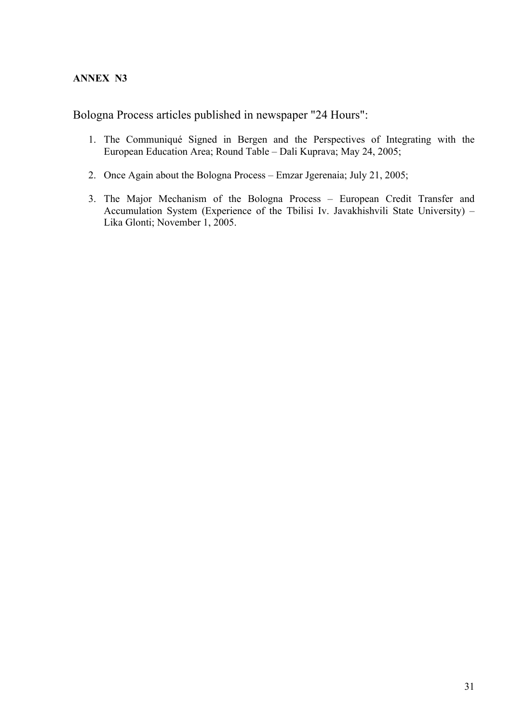## **ANNEX N3**

Bologna Process articles published in newspaper "24 Hours":

- 1. The Communiqué Signed in Bergen and the Perspectives of Integrating with the European Education Area; Round Table – Dali Kuprava; May 24, 2005;
- 2. Once Again about the Bologna Process Emzar Jgerenaia; July 21, 2005;
- 3. The Major Mechanism of the Bologna Process European Credit Transfer and Accumulation System (Experience of the Tbilisi Iv. Javakhishvili State University) – Lika Glonti; November 1, 2005.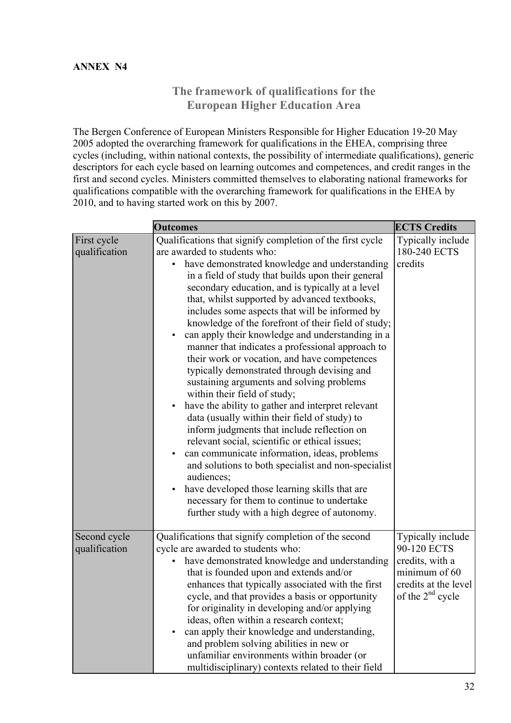# **The framework of qualifications for the European Higher Education Area**

The Bergen Conference of European Ministers Responsible for Higher Education 19-20 May 2005 adopted the overarching framework for qualifications in the EHEA, comprising three cycles (including, within national contexts, the possibility of intermediate qualifications), generic descriptors for each cycle based on learning outcomes and competences, and credit ranges in the first and second cycles. Ministers committed themselves to elaborating national frameworks for qualifications compatible with the overarching framework for qualifications in the EHEA by 2010, and to having started work on this by 2007.

|                               | <b>Outcomes</b>                                                                                                                                                                                                                                                                                                                                                                                                                                                                                                                                                                                                                                                                                                                                                                                                                                                                                                                                                                                                                                                                                                                                                                                           | <b>ECTS Credits</b>                                                                                                   |
|-------------------------------|-----------------------------------------------------------------------------------------------------------------------------------------------------------------------------------------------------------------------------------------------------------------------------------------------------------------------------------------------------------------------------------------------------------------------------------------------------------------------------------------------------------------------------------------------------------------------------------------------------------------------------------------------------------------------------------------------------------------------------------------------------------------------------------------------------------------------------------------------------------------------------------------------------------------------------------------------------------------------------------------------------------------------------------------------------------------------------------------------------------------------------------------------------------------------------------------------------------|-----------------------------------------------------------------------------------------------------------------------|
| First cycle<br>qualification  | Qualifications that signify completion of the first cycle<br>are awarded to students who:<br>have demonstrated knowledge and understanding<br>$\bullet$<br>in a field of study that builds upon their general<br>secondary education, and is typically at a level<br>that, whilst supported by advanced textbooks,<br>includes some aspects that will be informed by<br>knowledge of the forefront of their field of study;<br>can apply their knowledge and understanding in a<br>manner that indicates a professional approach to<br>their work or vocation, and have competences<br>typically demonstrated through devising and<br>sustaining arguments and solving problems<br>within their field of study;<br>have the ability to gather and interpret relevant<br>$\bullet$<br>data (usually within their field of study) to<br>inform judgments that include reflection on<br>relevant social, scientific or ethical issues;<br>can communicate information, ideas, problems<br>and solutions to both specialist and non-specialist<br>audiences;<br>have developed those learning skills that are<br>necessary for them to continue to undertake<br>further study with a high degree of autonomy. | Typically include<br>180-240 ECTS<br>credits                                                                          |
| Second cycle<br>qualification | Qualifications that signify completion of the second<br>cycle are awarded to students who:<br>have demonstrated knowledge and understanding<br>that is founded upon and extends and/or<br>enhances that typically associated with the first<br>cycle, and that provides a basis or opportunity<br>for originality in developing and/or applying<br>ideas, often within a research context;<br>can apply their knowledge and understanding,<br>and problem solving abilities in new or<br>unfamiliar environments within broader (or<br>multidisciplinary) contexts related to their field                                                                                                                                                                                                                                                                                                                                                                                                                                                                                                                                                                                                                 | Typically include<br>90-120 ECTS<br>credits, with a<br>minimum of 60<br>credits at the level<br>of the $2^{nd}$ cycle |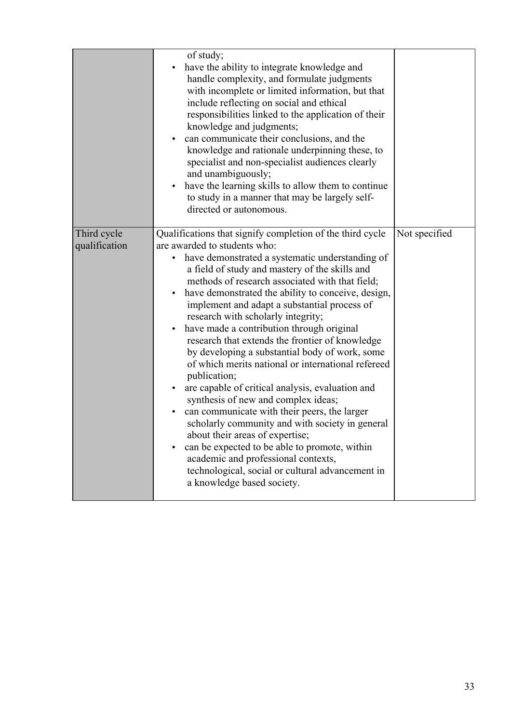|                              | of study;<br>have the ability to integrate knowledge and<br>handle complexity, and formulate judgments<br>with incomplete or limited information, but that<br>include reflecting on social and ethical<br>responsibilities linked to the application of their<br>knowledge and judgments;<br>can communicate their conclusions, and the<br>knowledge and rationale underpinning these, to<br>specialist and non-specialist audiences clearly<br>and unambiguously;<br>have the learning skills to allow them to continue<br>to study in a manner that may be largely self-<br>directed or autonomous.                                                                                                                                                                                                                                                                                                                                                                                                                                         |               |
|------------------------------|-----------------------------------------------------------------------------------------------------------------------------------------------------------------------------------------------------------------------------------------------------------------------------------------------------------------------------------------------------------------------------------------------------------------------------------------------------------------------------------------------------------------------------------------------------------------------------------------------------------------------------------------------------------------------------------------------------------------------------------------------------------------------------------------------------------------------------------------------------------------------------------------------------------------------------------------------------------------------------------------------------------------------------------------------|---------------|
| Third cycle<br>qualification | Qualifications that signify completion of the third cycle<br>are awarded to students who:<br>have demonstrated a systematic understanding of<br>a field of study and mastery of the skills and<br>methods of research associated with that field;<br>have demonstrated the ability to conceive, design,<br>implement and adapt a substantial process of<br>research with scholarly integrity;<br>have made a contribution through original<br>research that extends the frontier of knowledge<br>by developing a substantial body of work, some<br>of which merits national or international refereed<br>publication;<br>are capable of critical analysis, evaluation and<br>synthesis of new and complex ideas;<br>can communicate with their peers, the larger<br>scholarly community and with society in general<br>about their areas of expertise;<br>can be expected to be able to promote, within<br>$\bullet$<br>academic and professional contexts,<br>technological, social or cultural advancement in<br>a knowledge based society. | Not specified |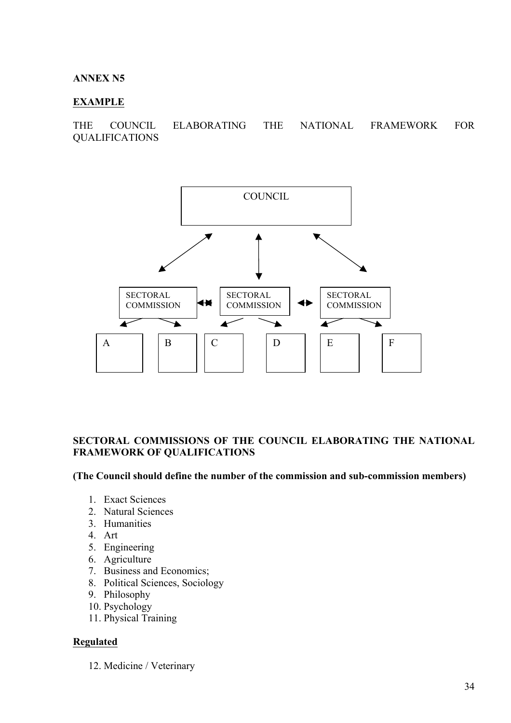#### **ANNEX N5**

#### **EXAMPLE**

THE COUNCIL ELABORATING THE NATIONAL FRAMEWORK FOR QUALIFICATIONS



#### **SECTORAL COMMISSIONS OF THE COUNCIL ELABORATING THE NATIONAL FRAMEWORK OF QUALIFICATIONS**

#### **(The Council should define the number of the commission and sub-commission members)**

- 1. Exact Sciences
- 2. Natural Sciences
- 3. Humanities
- 4. Art
- 5. Engineering
- 6. Agriculture
- 7. Business and Economics;
- 8. Political Sciences, Sociology
- 9. Philosophy
- 10. Psychology
- 11. Physical Training

#### **Regulated**

12. Medicine / Veterinary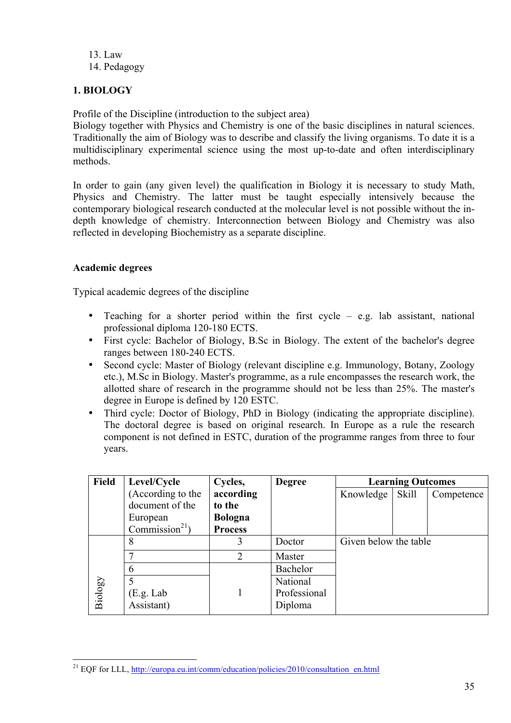13. Law 14. Pedagogy

# **1. BIOLOGY**

Profile of the Discipline (introduction to the subject area)

Biology together with Physics and Chemistry is one of the basic disciplines in natural sciences. Traditionally the aim of Biology was to describe and classify the living organisms. To date it is a multidisciplinary experimental science using the most up-to-date and often interdisciplinary methods.

In order to gain (any given level) the qualification in Biology it is necessary to study Math, Physics and Chemistry. The latter must be taught especially intensively because the contemporary biological research conducted at the molecular level is not possible without the indepth knowledge of chemistry. Interconnection between Biology and Chemistry was also reflected in developing Biochemistry as a separate discipline.

### **Academic degrees**

Typical academic degrees of the discipline

- Teaching for a shorter period within the first cycle e.g. lab assistant, national professional diploma 120-180 ECTS.
- First cycle: Bachelor of Biology, B.Sc in Biology. The extent of the bachelor's degree ranges between 180-240 ECTS.
- Second cycle: Master of Biology (relevant discipline e.g. Immunology, Botany, Zoology etc.), M.Sc in Biology. Master's programme, as a rule encompasses the research work, the allotted share of research in the programme should not be less than 25%. The master's degree in Europe is defined by 120 ESTC.
- Third cycle: Doctor of Biology, PhD in Biology (indicating the appropriate discipline). The doctoral degree is based on original research. In Europe as a rule the research component is not defined in ESTC, duration of the programme ranges from three to four years.

| Field   | Level/Cycle                | Cycles,        | <b>Degree</b> | <b>Learning Outcomes</b> |              |            |
|---------|----------------------------|----------------|---------------|--------------------------|--------------|------------|
|         | (According to the          | according      |               | Knowledge                | <b>Skill</b> | Competence |
|         | document of the            | to the         |               |                          |              |            |
|         | European                   | <b>Bologna</b> |               |                          |              |            |
|         | Commission <sup>21</sup> ) | <b>Process</b> |               |                          |              |            |
|         | 8                          | 3              | Doctor        | Given below the table    |              |            |
| Biology |                            | $\overline{2}$ | Master        |                          |              |            |
|         | 6                          |                | Bachelor      |                          |              |            |
|         |                            |                | National      |                          |              |            |
|         | (E.g. Lab)                 |                | Professional  |                          |              |            |
|         | Assistant)                 |                | Diploma       |                          |              |            |

<sup>&</sup>lt;sup>21</sup> EQF for LLL, http://europa.eu.int/comm/education/policies/2010/consultation\_en.html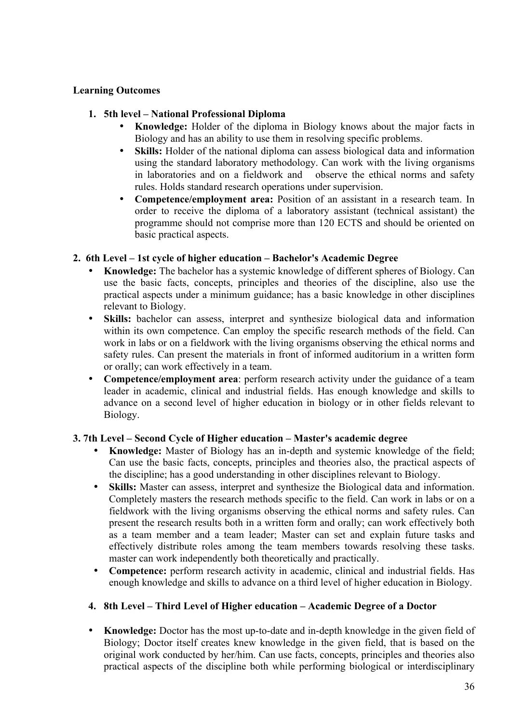## **Learning Outcomes**

#### **1. 5th level – National Professional Diploma**

- **Knowledge:** Holder of the diploma in Biology knows about the major facts in Biology and has an ability to use them in resolving specific problems.
- **Skills:** Holder of the national diploma can assess biological data and information using the standard laboratory methodology. Can work with the living organisms in laboratories and on a fieldwork and observe the ethical norms and safety rules. Holds standard research operations under supervision.
- **Competence/employment area:** Position of an assistant in a research team. In order to receive the diploma of a laboratory assistant (technical assistant) the programme should not comprise more than 120 ECTS and should be oriented on basic practical aspects.

### **2. 6th Level – 1st cycle of higher education – Bachelor's Academic Degree**

- **Knowledge:** The bachelor has a systemic knowledge of different spheres of Biology. Can use the basic facts, concepts, principles and theories of the discipline, also use the practical aspects under a minimum guidance; has a basic knowledge in other disciplines relevant to Biology.
- **Skills:** bachelor can assess, interpret and synthesize biological data and information within its own competence. Can employ the specific research methods of the field. Can work in labs or on a fieldwork with the living organisms observing the ethical norms and safety rules. Can present the materials in front of informed auditorium in a written form or orally; can work effectively in a team.
- **Competence/employment area**: perform research activity under the guidance of a team leader in academic, clinical and industrial fields. Has enough knowledge and skills to advance on a second level of higher education in biology or in other fields relevant to Biology.

#### **3. 7th Level – Second Cycle of Higher education – Master's academic degree**

- **Knowledge:** Master of Biology has an in-depth and systemic knowledge of the field; Can use the basic facts, concepts, principles and theories also, the practical aspects of the discipline; has a good understanding in other disciplines relevant to Biology.
- **Skills:** Master can assess, interpret and synthesize the Biological data and information. Completely masters the research methods specific to the field. Can work in labs or on a fieldwork with the living organisms observing the ethical norms and safety rules. Can present the research results both in a written form and orally; can work effectively both as a team member and a team leader; Master can set and explain future tasks and effectively distribute roles among the team members towards resolving these tasks. master can work independently both theoretically and practically.
- **Competence:** perform research activity in academic, clinical and industrial fields. Has enough knowledge and skills to advance on a third level of higher education in Biology.

# **4. 8th Level – Third Level of Higher education – Academic Degree of a Doctor**

• **Knowledge:** Doctor has the most up-to-date and in-depth knowledge in the given field of Biology; Doctor itself creates knew knowledge in the given field, that is based on the original work conducted by her/him. Can use facts, concepts, principles and theories also practical aspects of the discipline both while performing biological or interdisciplinary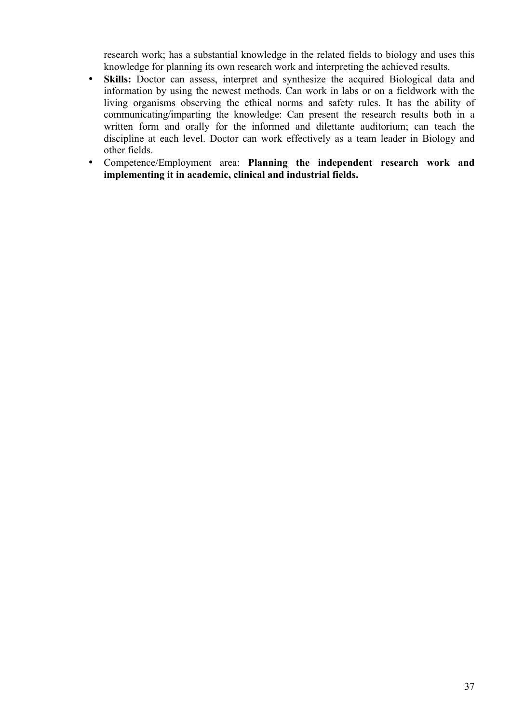research work; has a substantial knowledge in the related fields to biology and uses this knowledge for planning its own research work and interpreting the achieved results.

- **Skills:** Doctor can assess, interpret and synthesize the acquired Biological data and information by using the newest methods. Can work in labs or on a fieldwork with the living organisms observing the ethical norms and safety rules. It has the ability of communicating/imparting the knowledge: Can present the research results both in a written form and orally for the informed and dilettante auditorium; can teach the discipline at each level. Doctor can work effectively as a team leader in Biology and other fields.
- Competence/Employment area: **Planning the independent research work and implementing it in academic, clinical and industrial fields.**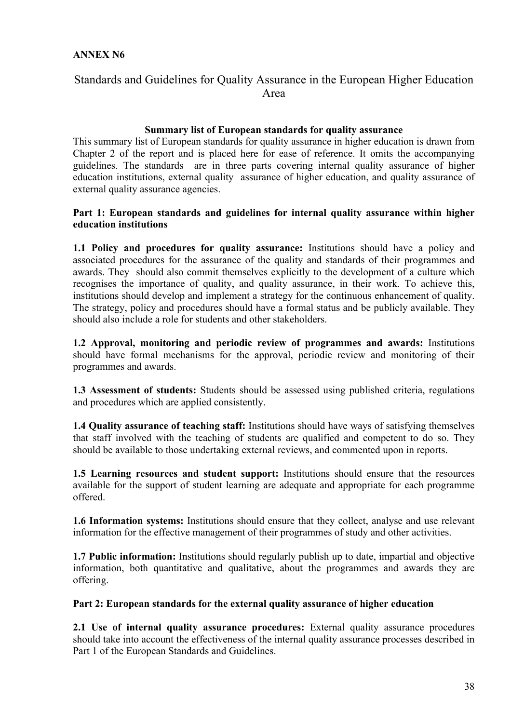#### **ANNEX N6**

# Standards and Guidelines for Quality Assurance in the European Higher Education Area

#### **Summary list of European standards for quality assurance**

This summary list of European standards for quality assurance in higher education is drawn from Chapter 2 of the report and is placed here for ease of reference. It omits the accompanying guidelines. The standards are in three parts covering internal quality assurance of higher education institutions, external quality assurance of higher education, and quality assurance of external quality assurance agencies.

#### **Part 1: European standards and guidelines for internal quality assurance within higher education institutions**

**1.1 Policy and procedures for quality assurance:** Institutions should have a policy and associated procedures for the assurance of the quality and standards of their programmes and awards. They should also commit themselves explicitly to the development of a culture which recognises the importance of quality, and quality assurance, in their work. To achieve this, institutions should develop and implement a strategy for the continuous enhancement of quality. The strategy, policy and procedures should have a formal status and be publicly available. They should also include a role for students and other stakeholders.

**1.2 Approval, monitoring and periodic review of programmes and awards:** Institutions should have formal mechanisms for the approval, periodic review and monitoring of their programmes and awards.

**1.3 Assessment of students:** Students should be assessed using published criteria, regulations and procedures which are applied consistently.

**1.4 Quality assurance of teaching staff:** Institutions should have ways of satisfying themselves that staff involved with the teaching of students are qualified and competent to do so. They should be available to those undertaking external reviews, and commented upon in reports.

**1.5 Learning resources and student support:** Institutions should ensure that the resources available for the support of student learning are adequate and appropriate for each programme offered.

**1.6 Information systems:** Institutions should ensure that they collect, analyse and use relevant information for the effective management of their programmes of study and other activities.

**1.7 Public information:** Institutions should regularly publish up to date, impartial and objective information, both quantitative and qualitative, about the programmes and awards they are offering.

#### **Part 2: European standards for the external quality assurance of higher education**

**2.1 Use of internal quality assurance procedures:** External quality assurance procedures should take into account the effectiveness of the internal quality assurance processes described in Part 1 of the European Standards and Guidelines.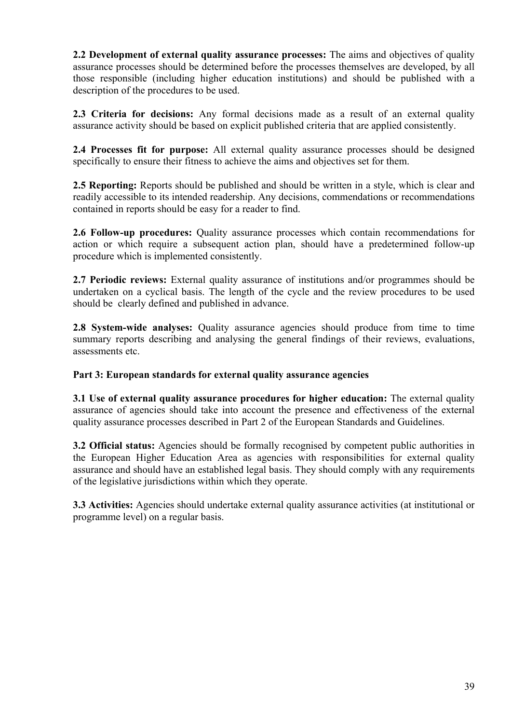**2.2 Development of external quality assurance processes:** The aims and objectives of quality assurance processes should be determined before the processes themselves are developed, by all those responsible (including higher education institutions) and should be published with a description of the procedures to be used.

**2.3 Criteria for decisions:** Any formal decisions made as a result of an external quality assurance activity should be based on explicit published criteria that are applied consistently.

**2.4 Processes fit for purpose:** All external quality assurance processes should be designed specifically to ensure their fitness to achieve the aims and objectives set for them.

**2.5 Reporting:** Reports should be published and should be written in a style, which is clear and readily accessible to its intended readership. Any decisions, commendations or recommendations contained in reports should be easy for a reader to find.

**2.6 Follow-up procedures:** Quality assurance processes which contain recommendations for action or which require a subsequent action plan, should have a predetermined follow-up procedure which is implemented consistently.

**2.7 Periodic reviews:** External quality assurance of institutions and/or programmes should be undertaken on a cyclical basis. The length of the cycle and the review procedures to be used should be clearly defined and published in advance.

**2.8 System-wide analyses:** Quality assurance agencies should produce from time to time summary reports describing and analysing the general findings of their reviews, evaluations, assessments etc.

#### **Part 3: European standards for external quality assurance agencies**

**3.1 Use of external quality assurance procedures for higher education:** The external quality assurance of agencies should take into account the presence and effectiveness of the external quality assurance processes described in Part 2 of the European Standards and Guidelines.

**3.2 Official status:** Agencies should be formally recognised by competent public authorities in the European Higher Education Area as agencies with responsibilities for external quality assurance and should have an established legal basis. They should comply with any requirements of the legislative jurisdictions within which they operate.

**3.3 Activities:** Agencies should undertake external quality assurance activities (at institutional or programme level) on a regular basis.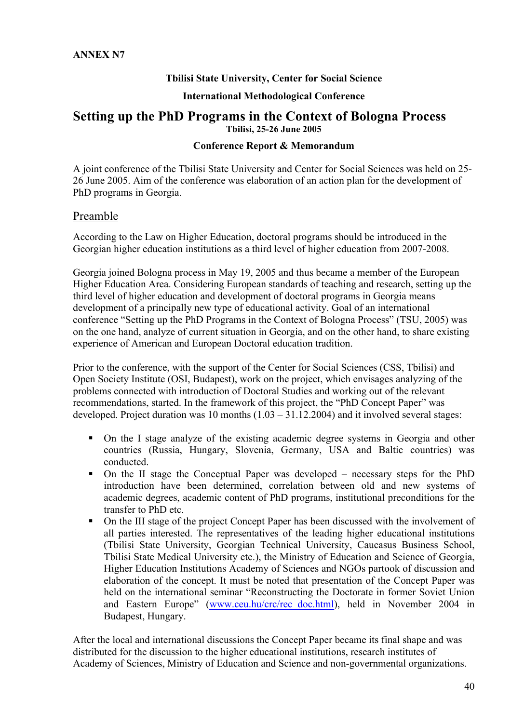#### **Tbilisi State University, Center for Social Science**

#### **International Methodological Conference**

# **Setting up the PhD Programs in the Context of Bologna Process Tbilisi, 25-26 June 2005**

#### **Conference Report & Memorandum**

A joint conference of the Tbilisi State University and Center for Social Sciences was held on 25- 26 June 2005. Aim of the conference was elaboration of an action plan for the development of PhD programs in Georgia.

#### Preamble

According to the Law on Higher Education, doctoral programs should be introduced in the Georgian higher education institutions as a third level of higher education from 2007-2008.

Georgia joined Bologna process in May 19, 2005 and thus became a member of the European Higher Education Area. Considering European standards of teaching and research, setting up the third level of higher education and development of doctoral programs in Georgia means development of a principally new type of educational activity. Goal of an international conference "Setting up the PhD Programs in the Context of Bologna Process" (TSU, 2005) was on the one hand, analyze of current situation in Georgia, and on the other hand, to share existing experience of American and European Doctoral education tradition.

Prior to the conference, with the support of the Center for Social Sciences (CSS, Tbilisi) and Open Society Institute (OSI, Budapest), work on the project, which envisages analyzing of the problems connected with introduction of Doctoral Studies and working out of the relevant recommendations, started. In the framework of this project, the "PhD Concept Paper" was developed. Project duration was 10 months  $(1.03 - 31.12.2004)$  and it involved several stages:

- On the I stage analyze of the existing academic degree systems in Georgia and other countries (Russia, Hungary, Slovenia, Germany, USA and Baltic countries) was conducted.
- On the II stage the Conceptual Paper was developed necessary steps for the PhD introduction have been determined, correlation between old and new systems of academic degrees, academic content of PhD programs, institutional preconditions for the transfer to PhD etc.
- On the III stage of the project Concept Paper has been discussed with the involvement of all parties interested. The representatives of the leading higher educational institutions (Tbilisi State University, Georgian Technical University, Caucasus Business School, Tbilisi State Medical University etc.), the Ministry of Education and Science of Georgia, Higher Education Institutions Academy of Sciences and NGOs partook of discussion and elaboration of the concept. It must be noted that presentation of the Concept Paper was held on the international seminar "Reconstructing the Doctorate in former Soviet Union and Eastern Europe" (www.ceu.hu/crc/rec\_doc.html), held in November 2004 in Budapest, Hungary.

After the local and international discussions the Concept Paper became its final shape and was distributed for the discussion to the higher educational institutions, research institutes of Academy of Sciences, Ministry of Education and Science and non-governmental organizations.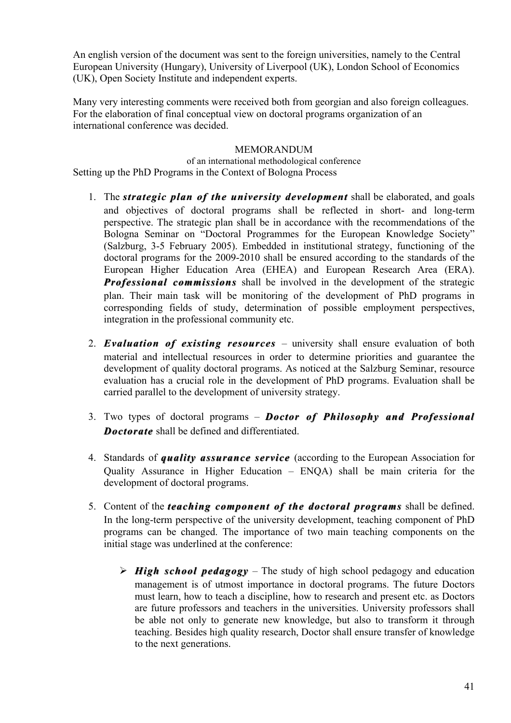An english version of the document was sent to the foreign universities, namely to the Central European University (Hungary), University of Liverpool (UK), London School of Economics (UK), Open Society Institute and independent experts.

Many very interesting comments were received both from georgian and also foreign colleagues. For the elaboration of final conceptual view on doctoral programs organization of an international conference was decided.

#### MEMORANDUM

of an international methodological conference Setting up the PhD Programs in the Context of Bologna Process

- 1. The *strategic plan of the university development* shall be elaborated, and goals and objectives of doctoral programs shall be reflected in short- and long-term perspective. The strategic plan shall be in accordance with the recommendations of the Bologna Seminar on "Doctoral Programmes for the European Knowledge Society" (Salzburg, 3-5 February 2005). Embedded in institutional strategy, functioning of the doctoral programs for the 2009-2010 shall be ensured according to the standards of the European Higher Education Area (EHEA) and European Research Area (ERA). **Professional commissions** shall be involved in the development of the strategic plan. Their main task will be monitoring of the development of PhD programs in corresponding fields of study, determination of possible employment perspectives, integration in the professional community etc.
- 2. **Evaluation of existing resources** university shall ensure evaluation of both material and intellectual resources in order to determine priorities and guarantee the development of quality doctoral programs. As noticed at the Salzburg Seminar, resource evaluation has a crucial role in the development of PhD programs. Evaluation shall be carried parallel to the development of university strategy.
- 3. Two types of doctoral programs **Doctor of Philosophy and Professional** *Doctorate Doctorate* shall be defined and differentiated.
- 4. Standards of *quality assurance service quality assurance service* (according to the European Association for Quality Assurance in Higher Education – ENQA) shall be main criteria for the development of doctoral programs.
- 5. Content of the *teaching component of the doctoral programs teaching component of the doctoral programs*shall be defined. In the long-term perspective of the university development, teaching component of PhD programs can be changed. The importance of two main teaching components on the initial stage was underlined at the conference:
	- $\triangleright$  **High school pedagogy** The study of high school pedagogy and education management is of utmost importance in doctoral programs. The future Doctors must learn, how to teach a discipline, how to research and present etc. as Doctors are future professors and teachers in the universities. University professors shall be able not only to generate new knowledge, but also to transform it through teaching. Besides high quality research, Doctor shall ensure transfer of knowledge to the next generations.